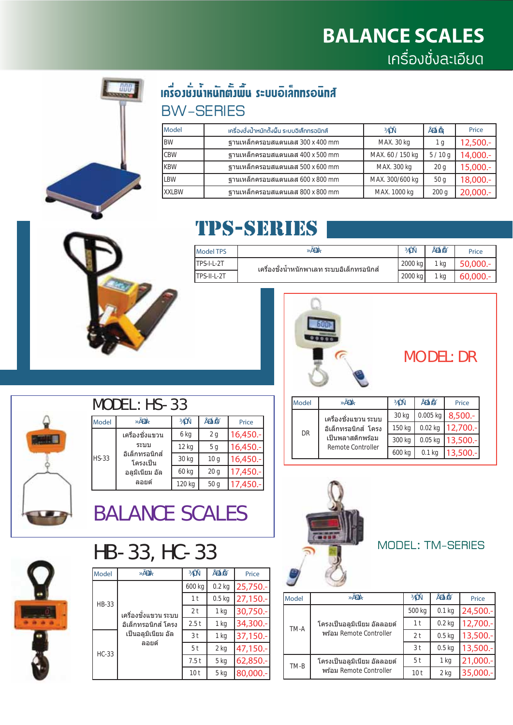

#### ้<br>เคมีosanคลิเอียบระราชน์ที่เห็นน้ำมีขึ้นอยัก **BW-SERIES**

| Model        | เครื่องชั่งน้ำหนักตั้งพื้น ระบบอิเล็กทรอนิกส์ | $3/4$ <b>CI</b> r | AĐà Í <b>A</b> | Price       |
|--------------|-----------------------------------------------|-------------------|----------------|-------------|
| <b>BW</b>    | ฐานเหล็กครอบสแตนเลส 300 x 400 mm              | MAX. 30 kg        | 1 g            | $12,500. -$ |
| <b>CBW</b>   | ฐานเหล็กครอบสแตนเลส 400 x 500 mm              | MAX. 60 / 150 kg  | 5/10q          | 14,000.-    |
| <b>KBW</b>   | ฐานเหล็กครอบสแตนเลส 500 x 600 mm              | MAX. 300 kg       | 20q            | $15,000.-$  |
| <b>LBW</b>   | ฐานเหล็กครอบสแตนเลส 600 x 800 mm              | MAX. 300/600 kg   | 50q            | 18,000.-    |
| <b>XXLBW</b> | ฐานเหล็กครอบสแตนเลส 800 x 800 mm              | MAX. 1000 kg      | 200q           | $20,000.-$  |



### **TPS-SERIES**

| <b>Model TPS</b>   | »ÃĐàÀ                                      | $3/4$ $\tilde{O}$ | AĐàI A          | Price      |
|--------------------|--------------------------------------------|-------------------|-----------------|------------|
| <b>TPS-I-L-2T</b>  | ้เครื่องชังน้ำหนักพาเลท ระบบอิเล็กทรอนิกส์ | 2000 kg           | $1$ kg          | 50,000.-   |
| <b>TPS-II-L-2T</b> |                                            | $2000$ kg         | <sup>1</sup> kg | $60,000 -$ |



**DR** 

เครื่องชังแขวน ระบบ อิเล็กทรอนิกส์ โครง

เป็นพลาสติกพร้อม

Remote Controller

#### **MODEL: DR**

Price 8,500

2,700

13,500.

13,500

**AĐàÍ Ã** 

0.005 kg

 $0.02$  kg

 $0.05$  kg

 $0.1$  kg

3/4Or

30 kg

150 kg

300 kg

600 kg



#### MODEL: HS-33

| Model        | »ÃĐàÀ·                                      | 3/4 Or | <b>ADal A</b>   | Price     |
|--------------|---------------------------------------------|--------|-----------------|-----------|
| <b>HS-33</b> | เครื่องชังแขวน                              | 6 kg   | 2g              | 16,450.-  |
|              | ระบบ                                        | 12 kg  | 5 <sub>g</sub>  | 16,450 .- |
|              | อิเล็กทรอนิกส์<br>โครงเป็น<br>อลมิเนียม อัล | 30 kg  | 10 <sub>q</sub> | 16,450.-  |
|              |                                             | 60 kg  | 20q             | 17,450 .- |
|              | ลอยด์                                       | 120 kg | 50q             | 17,450.-  |

**BALANCE SCALES** 

# HB-33, HC-33

| Model        | »ÃĐàÀ·                                                                   | $3/4$ $QT$      | AĐàI Ã            | Price       |
|--------------|--------------------------------------------------------------------------|-----------------|-------------------|-------------|
|              | เครื่องชังแขวน ระบบ<br>อิเล็กทรอนิกส์ โครง<br>เป็นอลมิเนียม อัล<br>ลอยด์ | 600 kg          | $0.2$ kg          | $25,750. -$ |
| <b>HB-33</b> |                                                                          | 1 <sub>t</sub>  | 0.5 <sub>kq</sub> | 27,150.-    |
|              |                                                                          | 2 <sub>t</sub>  | 1 kg              | 30,750.-    |
|              |                                                                          | 2.5t            | 1 kg              | 34,300.-    |
|              |                                                                          | 3 <sub>t</sub>  | 1 kg              | 37,150.-    |
| <b>HC-33</b> |                                                                          | 5 <sup>t</sup>  | $2$ kg            | 47,150.-    |
|              |                                                                          | 7.5t            | 5 kg              | 62,850.-    |
|              |                                                                          | 10 <sub>t</sub> | 5 kg              | 80,000.-    |



**MODEL: TM-SERIES** 

| Model | »ÃĐàÀ·                      | $\frac{3}{4}$ Or | <b>ABal A</b> <sup>c</sup> | Price       |
|-------|-----------------------------|------------------|----------------------------|-------------|
|       |                             | 500 kg           | $0.1$ kg                   | 24,500 .-   |
| TM-A  | โครงเป็นอลูมิเนียม อัลลอยด์ | 1 <sub>t</sub>   | $0.2$ kg                   | 12,700 .-   |
|       | พร้อม Remote Controller     | 2 <sub>t</sub>   | $0.5$ kg                   | $13,500.-$  |
|       |                             | 3 <sub>t</sub>   | $0.5$ kg                   | $13,500.-$  |
| TM-B  | โครงเป็นอลมิเนียม อัลลอยด์  | 5 <sup>t</sup>   | 1 kg                       | $21,000. -$ |
|       | พร้อม Remote Controller     | 10 t             | 2 <sub>kq</sub>            | $35,000.-$  |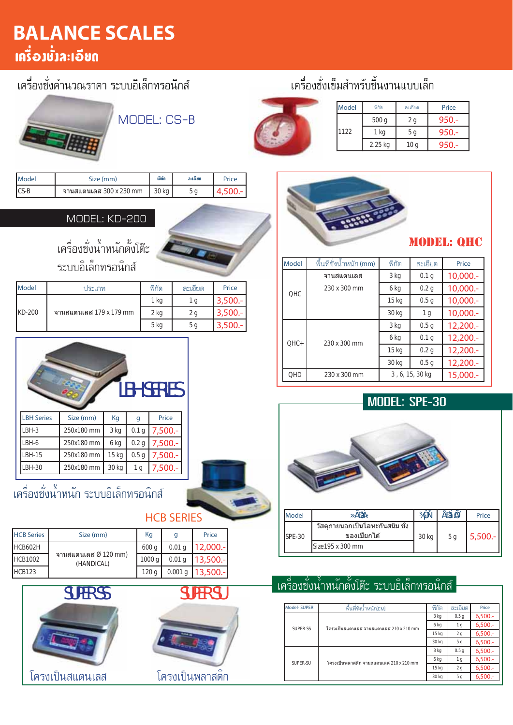## **BALANCE SCALES** ้เครื่อ**วชั่วละเอีย**ถ

#### เครื่องซั่งคำนวณราคา ระบบอิเล็กทรอนิกส์

#### เครื่องขั้งเข็มสำหรับขึ้นงานแบบเล็ก



| Model | พิกัด   | ละเอียด | Price   |
|-------|---------|---------|---------|
|       | 500q    | 2 g     | $950 -$ |
| 1122  | 1 kg    | ьq      | $950 -$ |
|       | 2.25 kg | 10 g    | $950 -$ |



#### ละเอียด Model Size (mm) ພິກັດ Price  $CS-B$ จานสแตนเลส 300 x 230 mm 30 kg  $5<sub>q</sub>$ 4.500

MODEL: CS-B

#### MODEL: KD-200



้<br>เครื่องซั่งน้ำหนักตั้งโต๊ะ ระบบอิเล็กทรอนิกส์

| Model  | ประเภท                  | พิกัด | ละเอียด | Price      |
|--------|-------------------------|-------|---------|------------|
|        |                         | 1 kg  | Ιa      | $3,500 -$  |
| KD-200 | จานสแดนเลส 179 x 179 mm | 2 kg  | 2 g     | 3,500.     |
|        |                         | 5 kg  | 5 a     | $3,500. -$ |



| <b>LBH Series</b> | Size (mm)  | Kg    | g                | Price      |
|-------------------|------------|-------|------------------|------------|
| LBH-3             | 250x180 mm | 3 kg  | 0.1 <sub>q</sub> | $7,500. -$ |
| LBH-6             | 250x180 mm | 6 kg  | 0.2 <sub>q</sub> | $7,500. -$ |
| <b>LBH-15</b>     | 250x180 mm | 15 kg | 0.5 <sub>q</sub> | $7,500. -$ |
| LBH-30            | 250x180 mm | 30 kg | 1 g              | $7,500. -$ |
|                   |            |       |                  |            |

#### เครื่องขั้งน้ำหนัก ระบบอิเล็กทรอนิกส์

#### **HCB SERIES**

| <b>HCB Series</b> | Size (mm)                                      | Kg               | q                 | Price   |
|-------------------|------------------------------------------------|------------------|-------------------|---------|
| <b>HCB602H</b>    |                                                | 600 <sub>a</sub> | 0.01 <sub>q</sub> | 12,000. |
| <b>HCB1002</b>    | จานสแตนเลส $\varnothing$ 120 mm)<br>(HANDICAL) | 1000a            | 0.01 <sub>q</sub> | 13,500. |
| <b>HCB123</b>     |                                                | 120 <sub>a</sub> | 0.001q            | 13,500. |



# **SUPER SU**





#### **MODEL: QHC**

| Model      | พื้นที่ชั่งน้ำหนัก (mm) | พิกัด                    | ละเอียด          | Price       |
|------------|-------------------------|--------------------------|------------------|-------------|
|            | จานสแตนเลส              | 3 kg<br>0.1 <sub>q</sub> |                  | $10,000.-$  |
| OHC        | 230 x 300 mm            | 6 kg                     | 0.2 <sub>q</sub> | $10,000.-$  |
|            |                         | 15 kg                    | 0.5q             | $10,000. -$ |
|            |                         | 30 kg                    | 1 <sub>g</sub>   | $10,000. -$ |
|            |                         | 3 kg                     | 0.5q             | $12,200. -$ |
| $OHC+$     | 230 x 300 mm            | 6 kg                     | 0.1 <sub>q</sub> | $12,200. -$ |
|            |                         | 15 <sub>kg</sub>         | 0.2 <sub>q</sub> | $12,200. -$ |
|            |                         | 30 kg                    | 0.5 <sub>q</sub> | $12,200. -$ |
| <b>QHD</b> | 230 x 300 mm            | 3, 6, 15, 30 kg          |                  | 15,000 .-   |

#### **MODEL: SPE-30**



| $ISPE-30$ | วัสดภายนอกเป็นโลหะกันสนิม ชัง<br>ของเปียกได้ | 5 a |  |
|-----------|----------------------------------------------|-----|--|
|           | Size195 x 300 mm                             |     |  |
|           |                                              |     |  |
|           |                                              |     |  |

#### ้เครื่องขั้งน้ำหนักตั้งโต๊ะ ระบบอิเล็กทรอนิกส์

| <b>Model-SUPER</b> | พื้นที่ชั่งน้ำหนัก[CM]                              | พิกัด | ละเอียด          | Price      |
|--------------------|-----------------------------------------------------|-------|------------------|------------|
|                    | โครงเป็นสแดนเลส จานสแดนเลส 210 x 210 mm<br>SUPER-SS | 3 kg  | 0.5 <sub>g</sub> | 6,500.     |
|                    |                                                     | 6 kg  | 1 <sub>g</sub>   | $6,500. -$ |
|                    |                                                     | 15 kg | 2 <sub>g</sub>   | 6,500.     |
|                    |                                                     | 30 kg | 5 <sub>q</sub>   | 6,500.     |
|                    | โครงเป็นพลาสติก จานสแดนเลส 210 x 210 mm             | 3 kg  | 0.5 <sub>q</sub> | 6,500.     |
| SUPER-SU           |                                                     | 6 kg  | 1 <sub>g</sub>   | $6,500. -$ |
|                    |                                                     | 15 kg | 2 <sub>g</sub>   | 6,500.     |
|                    |                                                     | 30 kg | 5 <sub>q</sub>   | 6,500.     |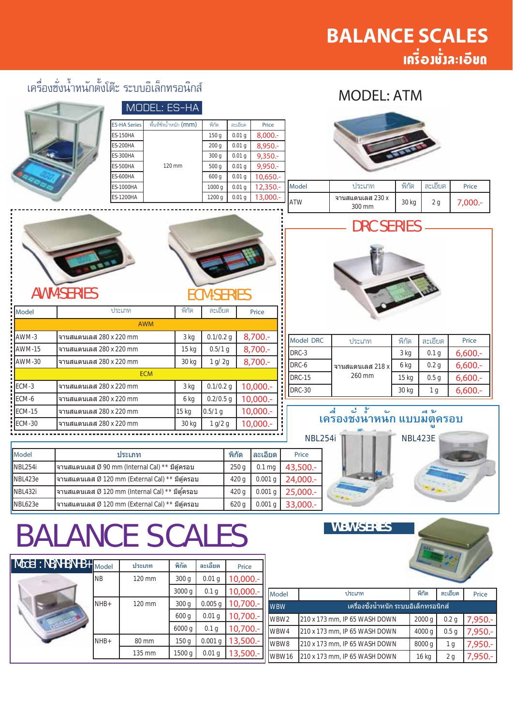**MODEL: ATM** 

### เครื่องซั่งน้ำหนักตั้งโต๊ะ ระบบอิเล็กทรอนิกส์

#### MODEL: ES-HA พื้นที่ซั่งน้ำหนัก (mm) ES-HA Serie พิกัด ละเอียด Price **ES-150HA** 150 g  $0.01 g$ 8,000. **ES-200HA**  $200 g$  $0.01 g$ 8,950.  $9,350.$ **FS-300HA**  $300 g$  $0.01 g$ **ES-500HA**  $120 \text{ mm}$  $500g$  $0.01 g$  $9.950.$ **ES-600HA**  $600q$  $0.01<sub>q</sub>$ 10.650  $\overline{1000}$  g ประเภท พิกัด ละเอียด **ES-1000HA**  $\overline{0.01}$  g 12.350 Model Price **FS-1200HA**  $1200q$  $0.01<sub>g</sub>$ 13,000 จานสแตนเลส 230 x **ATW** 30 kg  $2g$  $7.000 300 \text{ mm}$ DRC SERIES **AWM-SERIES ECM-SERIES** พิกัด Model ประเภท ละเอียด Price AWM AWM-3 3 kg  $0.1/0.2$  q 8,700 จานสแตนเลส 280 x 220 mm Model DRC ประเภท พิกัด ละเอียด Price **AWM-15** จานสแตนเลส 280 x 220 mm 15 kg  $0.5/1 g$ 8,700 DRC-3 3 kg  $0.1<sub>q</sub>$  $6,600.$ **AWM-30** จานสแตนเลส 280 x 220 mm 30 kg  $1 g/ 2g$ 8,700. DRC-6  $0.2<sub>g</sub>$  $6.600 -$ 6 kg จาบสแตบเลส 218 x **FCM** 260 mm DRC-15  $15<sub>ka</sub>$  $0.5<sub>q</sub>$  $6,600.$ ECM-3 จานสแตนเลส 280 x 220 mm 3 kg  $0.1/0.2$  q 10.000 **DRC-30** 30 kg  $1<sub>g</sub>$  $6,600.$ ECM-6 จานสแตนเลส 280 x 220 mm 6 kg  $0.2/0.5$  q 10.000 **ECM-15** จานสแตนเลส 280 x 220 mm  $15<sub>ka</sub>$  $0.5/1 g$  $10.000.$ ี สูง ะ ะ ะ แบบมีต์ครอบ 굴 له ಕಿ **ECM-30**  $30<sub>k</sub>$ 10.000 จาบสแตบเลส 280 x 220 mm  $1 g/2 g$ NBL254i **NBL423E** Model ประเภท พิกัด ละเอียด Price **NBL254** จานสแตนเลส Ø 90 mm (Internal Cal) \*\* มีต้ครอบ  $250q$  $0.1<sub>mg</sub>$ 43,500 NBI 423e จานสแตนเลส Ø 120 mm (Fxternal Cal) \*\* มีต*ั*ครอบ  $420q$  $0.001 a$ 24,000. 25,000 **NBL432** 420 g  $0.001$  g จานสแตนเลส Ø 120 mm (Internal Cal) \*\* มีตู้ครอบ

620 g

 $0.001 g$ 

33,000.

# **BALANCE SCALES**

จานสแตนเลส Ø 120 mm (External Cal)  $^{\star\star}$  มีตู้ครอบ

NBL623e

Мc

**WBW-SERIES** 



| del : NB,NHB,NHB+ | Model     | ประเภท | พิกัด            | ละเอียด           | Price      |
|-------------------|-----------|--------|------------------|-------------------|------------|
|                   | <b>NB</b> | 120 mm | 300q             | 0.01 <sub>g</sub> | 10,000 .-  |
|                   |           |        | 3000 g           | 0.1 <sub>g</sub>  | $10,000.-$ |
|                   | $NHB+$    | 120 mm | 300q             | $0.005$ g         | 10,700 .-  |
|                   |           |        | 600 g            | 0.01 <sub>q</sub> | 10,700 .-  |
|                   |           |        | 6000 g           | 0.1 <sub>g</sub>  | 10,700 .-  |
|                   | $NHB+$    | 80 mm  | 150 <sub>g</sub> | $0.001$ g         | 13,500 .-  |
|                   |           | 135 mm | 1500 g           | 0.01 g            | 13,500 .-  |

| <b>Model</b>     | ประเภท                                 | พิกัด  | ละเอียด          | Price      |  |  |
|------------------|----------------------------------------|--------|------------------|------------|--|--|
| <b>WBW</b>       | ้เครื่องชั่งน้ำหนัก ระบบอิเล็กทรอนิกส์ |        |                  |            |  |  |
| WBW <sub>2</sub> | 210 x 173 mm, IP 65 WASH DOWN          | 2000q  | 0.2 <sub>q</sub> | $7,950. -$ |  |  |
| WBW4             | 210 x 173 mm, IP 65 WASH DOWN          | 4000 g | 0.5 <sub>q</sub> | 7,950.-    |  |  |
| WBW8             | 210 x 173 mm, IP 65 WASH DOWN          | 8000 g | 1 g              | $7,950. -$ |  |  |
| WBW16            | 210 x 173 mm, IP 65 WASH DOWN          | 16 kg  | 2q               | 7,950.-    |  |  |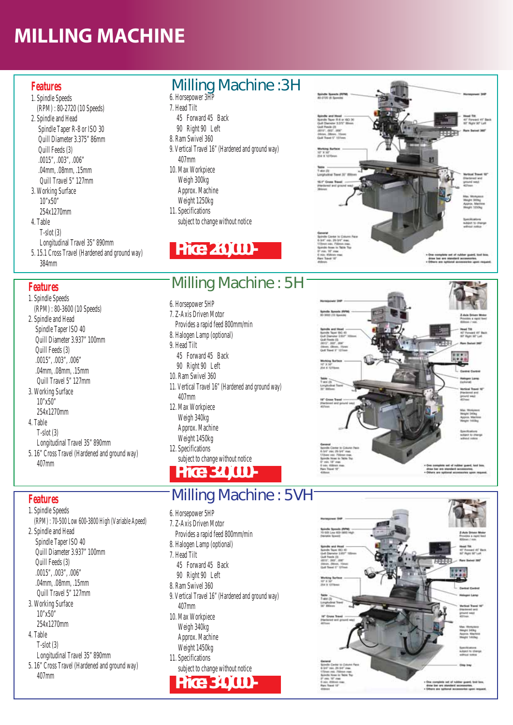# **MILLING MACHINE**

- 1. Spindle Speeds (RPM) : 80-2720 (10 Speeds)
- 2. Spindle and Head Spindle Taper R-8 or ISO 30 Quill Diameter 3.375" 86mm Quill Feeds (3) .0015", .003", .006" .04mm, .08mm, .15mm Quill Travel 5" 127mm
- 3. Working Surface 10"x50"
- 254x1270mm
- 4. Table T-slot (3)
- Longitudinal Travel 35" 890mm
- 5. 15.1 Cross Travel (Hardened and ground way)
- 384mm

407mm

**Features** 1. Spindle Speeds

2. Spindle and Head Spindle Taper ISO 40 Quill Diameter 3.937" 100mm

 Quill Feeds (3) .0015", .003", .006" .04mm, .08mm, .15mm Quill Travel 5" 127mm 3. Working Surface 10"x50" 254x1270mm

 Longitudinal Travel 35" 890mm 5. 16" Cross Travel (Hardened and ground way)

4. Table T-slot (3)

407mm

1. Spindle Speeds (RPM) : 80-3600 (10 Speeds) 2. Spindle and Head Spindle Taper ISO 40 Quill Diameter 3.937" 100mm Quill Feeds (3) .0015", .003", .006" .04mm, .08mm, .15mm Quill Travel 5" 127mm 3. Working Surface 10"x50" 254x1270mm 4. Table T-slot (3) Longitudinal Travel 35" 890mm 5. 16" Cross Travel (Hardened and ground way)

(RPM) : 70-500 Low 600-3800 High (Variable Apeed)

- Features **Milling Machine : 3H** 
	- 6. Horsepower 3HP 7. Head Tilt
	- 45 Forward 45 Back
	- 90 Right 90 Left
	- 8. Ram Swivel 360
	- 9. Vertical Travel 16" (Hardened and ground way) 407mm
	- 10. Max Workpiece Weigh 300kg Approx. Machine
	- Weight 1250kg
	- 11. Specifications
	- subject to change without notice



#### **Features** Milling Machine : 5H

- 6. Horsepower 5HP
- 7. Z-Axis Driven Motor
- Provides a rapid feed 800mm/min
- 8. Halogen Lamp (optional)
- 9. Head Tilt
- 45 Forward 45 Back 90 Right 90 Left
- 10. Ram Swivel 360
- 11. Vertical Travel 16" (Hardened and ground way)
- 407mm
- 12. Max Workpiece Weigh 340kg Approx. Machine
- Weight 1450kg
- 12. Specifications
- subject to change without notice



#### Milling Machine : 5VH

- 6. Horsepower 5HP
- 7. Z-Axis Driven Motor Provides a rapid feed 800mm/min
- 8. Halogen Lamp (optional)
- 7. Head Tilt
- 45 Forward 45 Back
- 90 Right 90 Left
- 8. Ram Swivel 360
- 9. Vertical Travel 16" (Hardened and ground way) 407mm 10. Max Workpiece
- Weigh 340kg Approx. Machine Weight 1450kg
- 11. Specifications
- subject to change without notice





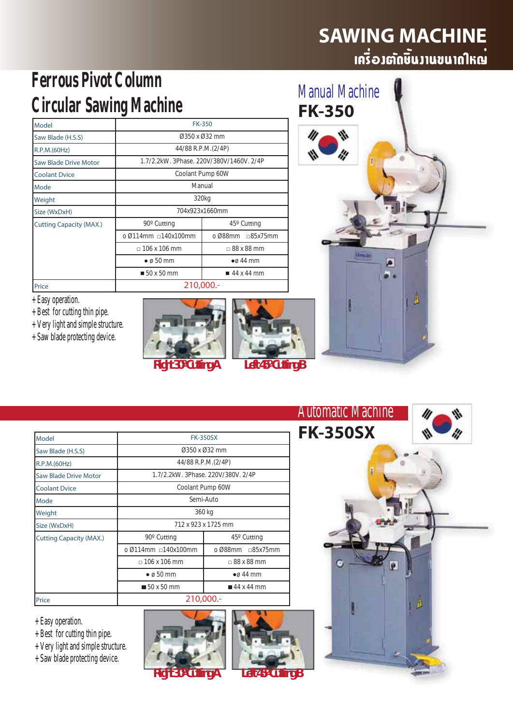### **SAWING MACHINE** ้<br>เครื่อวต*ั*ดษินวานขนาดใหญ<sup>่</sup>

Manual Machine

**Chang line** 

ø

**FK-350**

# **Ferrous Pivot Column Circular Sawing Machine**

| Model                          | <b>FK-350</b>       |                                          |  |  |  |  |
|--------------------------------|---------------------|------------------------------------------|--|--|--|--|
| Saw Blade (H.S.S)              |                     | $0.350 \times 0.32$ mm                   |  |  |  |  |
| R.P.M.(60Hz)                   |                     | 44/88 R.P.M.(2/4P)                       |  |  |  |  |
| Saw Blade Drive Motor          |                     | 1.7/2.2kW, 3Phase, 220V/380V/1460V, 2/4P |  |  |  |  |
| <b>Coolant Dvice</b>           |                     | Coolant Pump 60W                         |  |  |  |  |
| Mode                           | Manual              |                                          |  |  |  |  |
| Weight                         | 320 <sub>kg</sub>   |                                          |  |  |  |  |
| Size (WxDxH)                   | 704x923x1660mm      |                                          |  |  |  |  |
| <b>Cutting Capacity (MAX.)</b> | 90° Cutting         | $45^{\circ}$ Cutting                     |  |  |  |  |
|                                | o Ø114mm □140x100mm | o Ø88mm<br>□85x75mm                      |  |  |  |  |
|                                | $\Box$ 106 x 106 mm | $\Box$ 88 x 88 mm                        |  |  |  |  |
|                                | $\bullet$ ø 50 mm   | $\bullet$ ø 44 mm                        |  |  |  |  |
|                                | ■ 50 x 50 mm        | $\blacksquare$ 44 x 44 mm                |  |  |  |  |
| Price                          |                     | 210,000.-                                |  |  |  |  |

+ Easy operation.

- + Best for cutting thin pipe.
- + Very light and simple structure.
- + Saw blade protecting device.







| Model                          | <b>FK-350SX</b>                           |                                    |  |  |  |  |  |
|--------------------------------|-------------------------------------------|------------------------------------|--|--|--|--|--|
| Saw Blade (H.S.S)              |                                           | 0350 x 032 mm                      |  |  |  |  |  |
| R.P.M.(60Hz)                   |                                           | 44/88 R.P.M.(2/4P)                 |  |  |  |  |  |
| <b>Saw Blade Drive Motor</b>   |                                           | 1.7/2.2kW, 3Phase, 220V/380V, 2/4P |  |  |  |  |  |
| <b>Coolant Dvice</b>           |                                           | Coolant Pump 60W                   |  |  |  |  |  |
| Mode                           | Semi-Auto                                 |                                    |  |  |  |  |  |
| Weight                         | 360 kg                                    |                                    |  |  |  |  |  |
| Size (WxDxH)                   | 712 x 923 x 1725 mm                       |                                    |  |  |  |  |  |
| <b>Cutting Capacity (MAX.)</b> | 90° Cutting                               | 45° Cutting                        |  |  |  |  |  |
|                                | $0.0114$ mm $-140x100$ mm                 | o Ø88mm<br>$\sqcap$ 85x75mm        |  |  |  |  |  |
|                                | $\Box$ 106 x 106 mm                       | $\Box$ 88 x 88 mm                  |  |  |  |  |  |
|                                | $\bullet$ ø 50 mm                         | $\bullet$ $\alpha$ 44 mm           |  |  |  |  |  |
|                                | ■ 44 x 44 mm<br>$\blacksquare$ 50 x 50 mm |                                    |  |  |  |  |  |
| Price                          |                                           | 210,000 .-                         |  |  |  |  |  |

+ Easy operation.

- + Best for cutting thin pipe.
- + Very light and simple structure.
- + Saw blade protecting device.





*Right 30º Cutting A Left 45º Cutting B*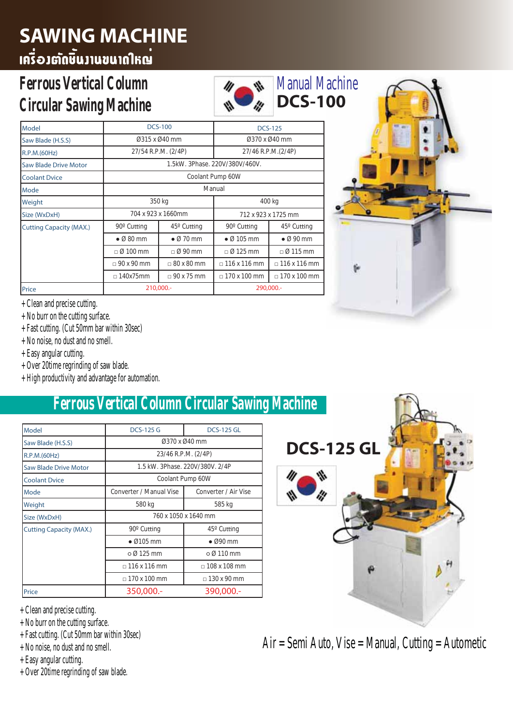# **SAWING MACHINE**

# .<br>ພາໄກແບບເບັນຄົນຂອງອັງຄອ

#### **Ferrous Vertical Column Circular Sawing Machine**

| Model                          |                   | <b>DCS-100</b>           |                                | <b>DCS-125</b>             |  |  |
|--------------------------------|-------------------|--------------------------|--------------------------------|----------------------------|--|--|
| Saw Blade (H.S.S)              |                   | 0315 x 040 mm            |                                | 0370 x 040 mm              |  |  |
| R.P.M.(60Hz)                   |                   | 27/54 R.P.M. (2/4P)      |                                | 27/46 R.P.M.(2/4P)         |  |  |
| Saw Blade Drive Motor          |                   |                          | 1.5kW. 3Phase. 220V/380V/460V. |                            |  |  |
| <b>Coolant Dvice</b>           |                   |                          | Coolant Pump 60W               |                            |  |  |
| Mode                           | Manual            |                          |                                |                            |  |  |
| Weight                         |                   | 350 kg                   | 400 kg                         |                            |  |  |
| Size (WxDxH)                   |                   | 704 x 923 x 1660mm       | 712 x 923 x 1725 mm            |                            |  |  |
| <b>Cutting Capacity (MAX.)</b> | 90° Cutting       | $45^\circ$ Cutting       | 90° Cutting                    | $45^\circ$ Cutting         |  |  |
|                                | $\bullet$ Ø 80 mm | $\bullet$ $\alpha$ 70 mm | $\bullet$ Ø 105 mm             | $\bullet$ Ø 90 mm          |  |  |
|                                | $\Box$ Ø 100 mm   | $\Box$ Ø 90 mm           | $\Box$ Ø 125 mm                | $\Box$ Ø 115 mm            |  |  |
|                                | $\Box$ 90 x 90 mm | $\Box$ 80 x 80 mm        | $\Box$ 116 x 116 mm            | $\sqrt{116 \times 116}$ mm |  |  |
|                                | $\Box$ 140x75mm   | $\Box$ 90 x 75 mm        | $\Box$ 170 x 100 mm            | $\Box$ 170 x 100 mm        |  |  |
| Price                          |                   | 210,000 .-               |                                | 290,000 .-                 |  |  |

W



+ Clean and precise cutting.

- + No burr on the cutting surface.
- + Fast cutting. (Cut 50mm bar within 30sec)
- + No noise, no dust and no smell.
- + Easy angular cutting.
- + Over 20time regrinding of saw blade.
- + High productivity and advantage for automation.

### **Ferrous Vertical Column Circular Sawing Machine**

| Model                          | <b>DCS-125 G</b>        | <b>DCS-125 GL</b>               |  |  |  |
|--------------------------------|-------------------------|---------------------------------|--|--|--|
| Saw Blade (H.S.S)              | 0370 x 040 mm           |                                 |  |  |  |
| R.P.M.(60Hz)                   |                         | 23/46 R.P.M. (2/4P)             |  |  |  |
| <b>Saw Blade Drive Motor</b>   |                         | 1.5 kW. 3Phase, 220V/380V, 2/4P |  |  |  |
| <b>Coolant Dvice</b>           | Coolant Pump 60W        |                                 |  |  |  |
| Mode                           | Converter / Manual Vise | Converter / Air Vise            |  |  |  |
| Weight                         | 580 kg                  | 585 kg                          |  |  |  |
| Size (WxDxH)                   |                         | 760 x 1050 x 1640 mm            |  |  |  |
| <b>Cutting Capacity (MAX.)</b> | 90° Cutting             | $45^\circ$ Cutting              |  |  |  |
|                                | $\bullet$ Ø105 mm       | $\bullet$ Ø90 mm                |  |  |  |
|                                | $\circ$ $\alpha$ 125 mm | $\circ$ Ø 110 mm                |  |  |  |
|                                | $\Box$ 116 x 116 mm     | $-108 \times 108$ mm            |  |  |  |
|                                | $-170 \times 100$ mm    | $-130 \times 90$ mm             |  |  |  |
| Price                          | 350,000.-               | 390,000 .-                      |  |  |  |

+ Clean and precise cutting.

- + No burr on the cutting surface.
- + Fast cutting. (Cut 50mm bar within 30sec)
- + No noise, no dust and no smell.
- + Easy angular cutting.
- + Over 20time regrinding of saw blade.



Air = Semi Auto, Vise = Manual, Cutting = Autometic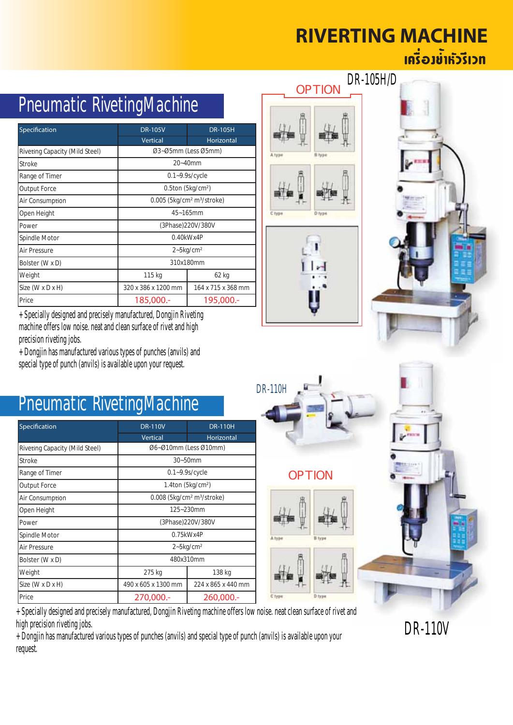### **RIVERTING MACHINE** ้เครื่อง<del>ข้ำหัว</del>รีเวท

| Pneumatic RivetingMachine                            |                            |  |  |  |  |  |  |
|------------------------------------------------------|----------------------------|--|--|--|--|--|--|
| <b>DR-105V</b>                                       | <b>DR-105H</b>             |  |  |  |  |  |  |
| <b>Vertical</b>                                      | Horizontal                 |  |  |  |  |  |  |
|                                                      | Ø3~Ø5mm (Less Ø5mm)        |  |  |  |  |  |  |
|                                                      | $20 - 40$ mm               |  |  |  |  |  |  |
| $0.1 - 9.9$ s/cycle                                  |                            |  |  |  |  |  |  |
| $0.5$ ton (5 $kg/cm2$ )                              |                            |  |  |  |  |  |  |
| $0.005$ (5kg/cm <sup>2</sup> m <sup>3</sup> /stroke) |                            |  |  |  |  |  |  |
| $45 - 165$ mm                                        |                            |  |  |  |  |  |  |
|                                                      | (3Phase)220V/380V          |  |  |  |  |  |  |
|                                                      | $0.40$ k $Wx4P$            |  |  |  |  |  |  |
|                                                      | $2 - 5$ kg/cm <sup>2</sup> |  |  |  |  |  |  |
|                                                      | 310x180mm                  |  |  |  |  |  |  |
| 115 kg<br>62 kg                                      |                            |  |  |  |  |  |  |
| 320 x 386 x 1200 mm                                  | 164 x 715 x 368 mm         |  |  |  |  |  |  |
| 185,000.-                                            | 195,000.-                  |  |  |  |  |  |  |
|                                                      |                            |  |  |  |  |  |  |

+ Specially designed and precisely manufactured, Dongjin Riveting machine offers low noise. neat and clean surface of rivet and high precision riveting jobs.

+ Dongjin has manufactured various types of punches (anvils) and special type of punch (anvils) is available upon your request.

|        | OPTION        | DR-105H/D |
|--------|---------------|-----------|
|        | <b>B</b> type |           |
|        |               |           |
| C type | D type        |           |

![](_page_6_Picture_5.jpeg)

![](_page_6_Picture_6.jpeg)

### Pneumatic RivetingMachine

| Specification                  | <b>DR-110V</b>                                     | <b>DR-110H</b>             |  |  |
|--------------------------------|----------------------------------------------------|----------------------------|--|--|
|                                | <b>Vertical</b>                                    | Horizontal                 |  |  |
| Riveting Capacity (Mild Steel) | Ø6~Ø10mm (Less Ø10mm)                              |                            |  |  |
| <b>Stroke</b>                  |                                                    | $30 - 50$ mm               |  |  |
| Range of Timer                 |                                                    | $0.1 - 9.9$ s/cycle        |  |  |
| <b>Output Force</b>            |                                                    | $1.4$ ton (5 $kg/cm2$ )    |  |  |
| Air Consumption                | 0.008 (5kg/cm <sup>2</sup> m <sup>3</sup> /stroke) |                            |  |  |
| Open Height                    | 125~230mm                                          |                            |  |  |
| Power                          |                                                    | (3Phase)220V/380V          |  |  |
| Spindle Motor                  |                                                    | $0.75$ kWx4P               |  |  |
| Air Pressure                   |                                                    | $2 - 5$ kg/cm <sup>2</sup> |  |  |
| Bolster (W x D)                |                                                    | 480x310mm                  |  |  |
| Weight                         | 275 kg<br>138 kg                                   |                            |  |  |
| Size (W x D x H)               | 490 x 605 x 1300 mm<br>224 x 865 x 440 mm          |                            |  |  |
| Price                          | 270,000.-                                          | 260,000 .-                 |  |  |

![](_page_6_Picture_9.jpeg)

#### OPTION

![](_page_6_Picture_11.jpeg)

![](_page_6_Picture_12.jpeg)

+ Specially designed and precisely manufactured, Dongjin Riveting machine offers low noise. neat clean surface of rivet and high precision riveting jobs.

+ Dongjin has manufactured various types of punches (anvils) and special type of punch (anvils) is available upon your request.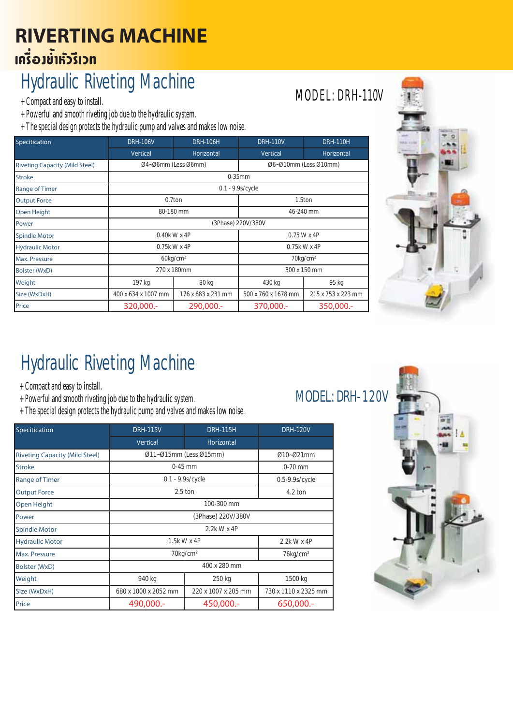## **RIVERTING MACHINE** ้เครื่องข<sup>้</sup>ำหัวรีเวท

# Hydraulic Riveting Machine

+ Compact and easy to install.

+ Powerful and smooth riveting job due to the hydraulic system.

+ The special design protects the hydraulic pump and valves and makes low noise.

| Specitication                         | <b>DRH-106V</b>     | <b>DRH-106H</b>         | <b>DRH-110V</b>     | <b>DRH-110H</b>         |  |  |
|---------------------------------------|---------------------|-------------------------|---------------------|-------------------------|--|--|
|                                       | Vertical            | Horizontal              | Vertical            | Horizontal              |  |  |
| <b>Riveting Capacity (Mild Steel)</b> |                     | Ø4~Ø6mm (Less Ø6mm)     |                     | 06~010mm (Less 010mm)   |  |  |
| <b>Stroke</b>                         |                     |                         | $0-35$ mm           |                         |  |  |
| <b>Range of Timer</b>                 |                     |                         | $0.1 - 9.9s/cycle$  |                         |  |  |
| <b>Output Force</b>                   | 0.7ton              |                         |                     | 1.5ton                  |  |  |
| <b>Open Height</b>                    | 80-180 mm           |                         | 46-240 mm           |                         |  |  |
| Power                                 |                     |                         | (3Phase) 220V/380V  |                         |  |  |
| <b>Spindle Motor</b>                  |                     | 0.40k W x 4P            | 0.75 W x 4P         |                         |  |  |
| <b>Hydraulic Motor</b>                |                     | 0.75k W x 4P            | 0.75k W x 4P        |                         |  |  |
| Max. Pressure                         |                     | $60$ kg/cm <sup>2</sup> |                     | $70$ kg/cm <sup>2</sup> |  |  |
| Bolster (WxD)                         |                     | 270 x 180mm             | 300 x 150 mm        |                         |  |  |
| Weight                                | 197 kg              | 80 kg                   | 430 kg              | 95 kg                   |  |  |
| Size (WxDxH)                          | 400 x 634 x 1007 mm | 176 x 683 x 231 mm      | 500 x 760 x 1678 mm | 215 x 753 x 223 mm      |  |  |
| Price                                 | 320,000 .-          | 290,000 .-              | 370,000 .-          | 350,000.-               |  |  |

![](_page_7_Picture_6.jpeg)

# Hydraulic Riveting Machine

- + Compact and easy to install.
- + Powerful and smooth riveting job due to the hydraulic system.
- + The special design protects the hydraulic pump and valves and makes low noise.

| Specitication                         | <b>DRH-115V</b>            | <b>DRH-115H</b>         | <b>DRH-120V</b>      |  |  |  |
|---------------------------------------|----------------------------|-------------------------|----------------------|--|--|--|
|                                       | Vertical                   | Horizontal              |                      |  |  |  |
| <b>Riveting Capacity (Mild Steel)</b> |                            | Ø11-Ø15mm (Less Ø15mm)  | Ø10~Ø21mm            |  |  |  |
| <b>Stroke</b>                         |                            | $0-45$ mm               | $0-70$ mm            |  |  |  |
| <b>Range of Timer</b>                 |                            | $0.1 - 9.9s/cycle$      | $0.5 - 9.9s/cycle$   |  |  |  |
| <b>Output Force</b>                   |                            | $2.5$ ton               |                      |  |  |  |
| <b>Open Height</b>                    | 100-300 mm                 |                         |                      |  |  |  |
| Power                                 | (3Phase) 220V/380V         |                         |                      |  |  |  |
| <b>Spindle Motor</b>                  |                            | 2.2k W x 4P             |                      |  |  |  |
| <b>Hydraulic Motor</b>                | 1.5k W x 4P<br>2.2k W x 4P |                         |                      |  |  |  |
| Max. Pressure                         |                            | $70$ kg/cm <sup>2</sup> | 76kg/cm <sup>2</sup> |  |  |  |
| <b>Bolster (WxD)</b>                  |                            | 400 x 280 mm            |                      |  |  |  |
| Weight                                | 940 kg<br>250 kg           |                         | 1500 kg              |  |  |  |
| Size (WxDxH)                          | 680 x 1000 x 2052 mm       | 220 x 1007 x 205 mm     | 730 x 1110 x 2325 mm |  |  |  |
| Price                                 | 490,000 .-                 | 450,000 .-              | 650,000 .-           |  |  |  |

#### MODEL: DRH-120V

![](_page_7_Picture_13.jpeg)

## MODEL: DRH-110V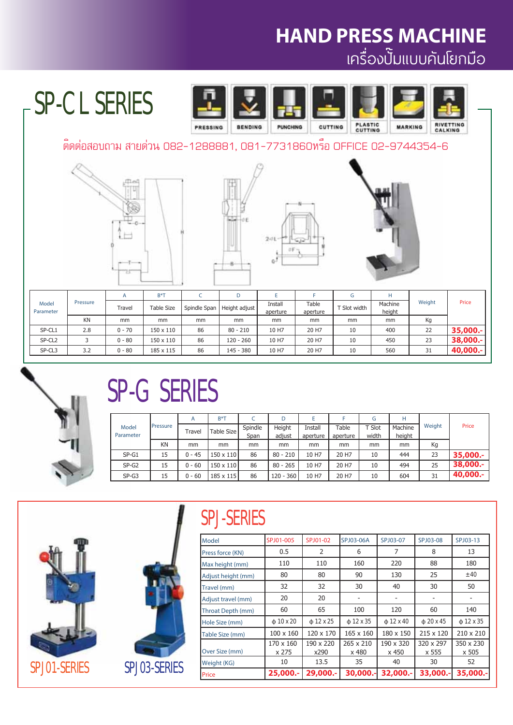# **HAND PRESS MACHINE**

#### เครื องปั มแบบคันโยกมือ ่<br>่<br>วันเป็น เพื่อน เพื่อน เพื่อน เพื่อน เพื่อน เพื่อน เพื่อน เพื่อน เพื่อน เพื่อน เพื่อน เพื่อน เพื่อน เพื่อน เพ ່.

# SP-CL SERIES

![](_page_8_Picture_3.jpeg)

#### ติดต่อสอบถาม สายด่วน 082-1288881, 081-7731860หรือ OFFICE 02-9744354-6

![](_page_8_Picture_5.jpeg)

![](_page_8_Figure_6.jpeg)

![](_page_8_Picture_7.jpeg)

|                    |          |          | $B^*T$            |              | D             |                     |                   |              |                   |        |           |
|--------------------|----------|----------|-------------------|--------------|---------------|---------------------|-------------------|--------------|-------------------|--------|-----------|
| Model<br>Parameter | Pressure | Travel   | <b>Table Size</b> | Spindle Span | Height adjust | Install<br>aperture | Table<br>aperture | T Slot width | Machine<br>height | Weight | Price     |
|                    | KN       | mm       | mm                | mm           | mm            | mm                  | mm                | mm           | mm                | Kg     |           |
| SP-CL1             | 2.8      | $0 - 70$ | 150 x 110         | 86           | $80 - 210$    | 10 H7               | 20 H7             | 10           | 400               | 22     | 35,000 .- |
| SP-CL <sub>2</sub> |          | $0 - 80$ | $150 \times 110$  | 86           | $120 - 260$   | 10 H7               | 20 H7             | 10           | 450               | 23     | 38,000 .- |
| SP-CL3             | 3.2      | $0 - 80$ | 185 x 115         | 86           | 145 - 380     | 10 H7               | 20 H7             | 10           | 560               | 31     | 40,000.-  |

![](_page_8_Picture_9.jpeg)

# SP-G SERIES

|           |                 | A        | $B^*T$    |            | D           |          |          | G     | Н      |         |           |       |
|-----------|-----------------|----------|-----------|------------|-------------|----------|----------|-------|--------|---------|-----------|-------|
| Model     | <b>Pressure</b> | Travel   |           | Table Size | Spindle     | Height   | Install  | Table | T Slot | Machine | Weight    | Price |
| Parameter |                 |          |           | Span       | adjust      | aperture | aperture | width | height |         |           |       |
|           | ΚN              | mm       | mm        | mm         | mm          | mm       | mm       | mm    | mm     | Кg      |           |       |
| $SP-G1$   | 15              | $0 - 45$ | 150 x 110 | 86         | $80 - 210$  | 10 H7    | 20 H7    | 10    | 444    | 23      | 35,000.-  |       |
| $SP-G2$   | 15              | $0 - 60$ | 150 x 110 | 86         | $80 - 265$  | 10 H7    | 20 H7    | 10    | 494    | 25      | 38,000.-  |       |
| $SP-G3$   | 15              | $0 - 60$ | 185 x 115 | 86         | $120 - 360$ | 10 H7    | 20 H7    | 10    | 604    | 31      | 40,000 .- |       |

![](_page_8_Picture_12.jpeg)

![](_page_8_Picture_13.jpeg)

## SPJ-SERIES

| Model              | SPJ01-005          | SPJ01-02          | SPJ03-06A          | SPJ03-07           | SPJ03-08           | SPJ03-13           |
|--------------------|--------------------|-------------------|--------------------|--------------------|--------------------|--------------------|
| Press force (KN)   | 0.5                | 2                 | 6                  | 7                  | 8                  | 13                 |
| Max height (mm)    | 110                | 110               | 160                | 220                | 88                 | 180                |
| Adjust height (mm) | 80                 | 80                | 90                 | 130                | 25                 | ± 40               |
| Travel (mm)        | 32                 | 32                | 30                 | 40                 | 30                 | 50                 |
| Adjust travel (mm) | 20                 | 20                |                    |                    |                    |                    |
| Throat Depth (mm)  | 60                 | 65                | 100                | 120                | 60                 | 140                |
| Hole Size (mm)     | $\phi$ 10 x 20     | $\phi$ 12 x 25    | $\phi$ 12 x 35     | $\phi$ 12 x 40     | $\phi$ 20 x 45     | $\phi$ 12 x 35     |
| Table Size (mm)    | $100 \times 160$   | 120 x 170         | $165 \times 160$   | 180 x 150          | 215 x 120          | 210 x 210          |
| Over Size (mm)     | 170 x 160<br>x 275 | 190 x 220<br>x290 | 265 x 210<br>x 480 | 190 x 320<br>x 450 | 320 x 297<br>x 555 | 350 x 230<br>x 505 |
| Weight (KG)        | 10                 | 13.5              | 35                 | 40                 | 30                 | 52                 |
| Price              | 25,000 .-          | 29,000.-          | 30,000.-           | 32,000 .-          | 33,000 .-          | 35,000.-           |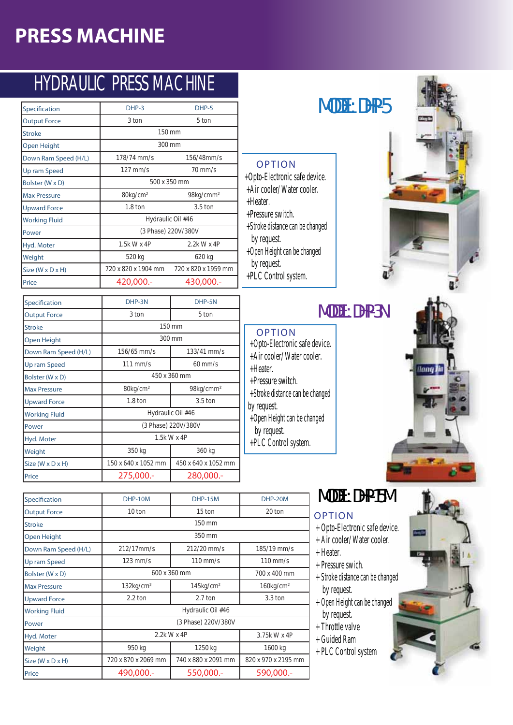# HYDRAULIC PRESS MACHINE

| Specification                | $DHP-3$              | DHP-5                 |  |  |  |
|------------------------------|----------------------|-----------------------|--|--|--|
| <b>Output Force</b>          | 3 ton                | 5 ton                 |  |  |  |
| <b>Stroke</b>                |                      | 150 mm                |  |  |  |
| Open Height                  |                      | 300 mm                |  |  |  |
| Down Ram Speed (H/L)         | 178/74 mm/s          | 156/48mm/s            |  |  |  |
| Up ram Speed                 | $127$ mm/s           | $70$ mm/s             |  |  |  |
| Bolster (W x D)              | 500 x 350 mm         |                       |  |  |  |
| <b>Max Pressure</b>          | 80kg/cm <sup>2</sup> | 98kg/cmm <sup>2</sup> |  |  |  |
| <b>Upward Force</b>          | $1.8 \text{ ton}$    | $3.5$ ton             |  |  |  |
| <b>Working Fluid</b>         |                      | Hydraulic Oil #46     |  |  |  |
| Power                        |                      | (3 Phase) 220V/380V   |  |  |  |
| Hyd. Moter                   | 1.5k W x 4P          | 2.2k W x 4P           |  |  |  |
| Weight                       | 520 kg               | 620 kg                |  |  |  |
| Size $(W \times D \times H)$ | 720 x 820 x 1904 mm  | 720 x 820 x 1959 mm   |  |  |  |
| Price                        | 420,000.-            | 430,000 .-            |  |  |  |

| Specification        | DHP-3N               | DHP-5N                |  |  |  |  |
|----------------------|----------------------|-----------------------|--|--|--|--|
| <b>Output Force</b>  | 3 ton                | 5 ton                 |  |  |  |  |
| <b>Stroke</b>        |                      | 150 mm                |  |  |  |  |
| Open Height          |                      | 300 mm                |  |  |  |  |
| Down Ram Speed (H/L) | $156/65$ mm/s        | $133/41$ mm/s         |  |  |  |  |
| Up ram Speed         | $111$ mm/s           | $60$ mm/s             |  |  |  |  |
| Bolster (W x D)      | 450 x 360 mm         |                       |  |  |  |  |
| <b>Max Pressure</b>  | 80kg/cm <sup>2</sup> | 98kg/cmm <sup>2</sup> |  |  |  |  |
| <b>Upward Force</b>  | $1.8 \text{ ton}$    | $3.5$ ton             |  |  |  |  |
| <b>Working Fluid</b> |                      | Hydraulic Oil #46     |  |  |  |  |
| Power                |                      | (3 Phase) 220V/380V   |  |  |  |  |
| Hyd. Moter           |                      | 1.5k W x 4P           |  |  |  |  |
| Weight               | 350 kg               | 360 kg                |  |  |  |  |
| Size (W x D x H)     | 150 x 640 x 1052 mm  | 450 x 640 x 1052 mm   |  |  |  |  |
| Price                | 275,000 .-           | 280,000 .-            |  |  |  |  |

#### **Specification DHP-10M DHP-15M DHP-20M Output Force 10 ton** 15 ton **15 ton** 20 ton **Stroke Open Height Down Ram Speed (H/L)** 212/17mm/s 212/20 mm/s 185/19 mm/s **Up ram Speed** 123 mm/s 110 mm/s 110 mm/s **Bolster (W x D)** 600 x 360 mm Max Pressure **132kg/cm<sup>2</sup>** 145kg/cm<sup>2</sup> 146kg/cm<sup>2</sup> 160kg/cm<sup>2</sup> **Upward Force** 2.2 ton 2.7 ton 3.3 ton **Working Fluid Power Hyd. Moter** 3.75k W x 4P Weight 950 kg 1250 kg 1600 kg **Size (W x D x H)** 720 x 870 x 2069 mm  $740$  x 880 x 2091 mm 820 x 970 x 2195 mm Price **490,000.- 550,000.- 590,000.-**2.2k W x 4P 600 x 360 mm 350 mm  $\frac{150}{mm}$ Hydraulic Oil #46 (3 Phase) 220V/380V

## **Specification DHP-3 DHP-5** MODEL: DHP-5

![](_page_9_Picture_6.jpeg)

ilanı

#### **MODEL: DHP-3N**

 +Opto-Electronic safe device. OPTION

+Opto-Electronic safe device. +Air cooler/ Water cooler.

OPTION

+Stroke distance can be changed

+Open Height can be changed

+Heater.

+Pressure switch.

by request.

 by request. +PLC Control system.

- +Air cooler/ Water cooler.
- +Heater.
- +Pressure switch. +Stroke distance can be changed
- by request. +Open Height can be changed
- by request.
- +PLC Control system.

### MODEL: DHP-15M

#### OPTION

- + Opto-Electronic safe device. + Air cooler/ Water cooler.
- + Heater.
- + Pressure swich.
- + Stroke distance can be changed by request.
- + Open Height can be changed by request.
	- + Throttle valve
	- + Guided Ram
- + PLC Control system

![](_page_9_Picture_25.jpeg)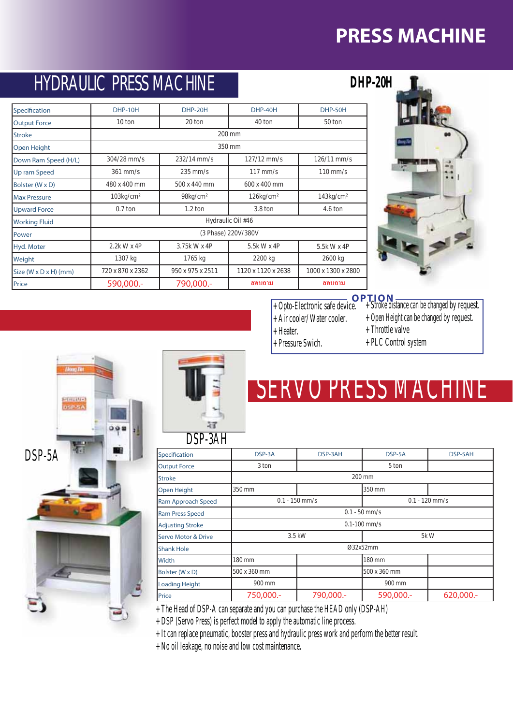## HYDRAULIC PRESS MACHINE

**Price 590,000.- 790,000.-**

**Stroke Open Height**

**Working Fluid Power**

**Specification DHP-10H DHP-20H DHP-40H DHP-50H** Output Force **10** ton 20 ton 40 ton 50 ton

**Down Ram Speed (H/L)** 304/28 mm/s 232/14 mm/s 127/12 mm/s 126/11 mm/s **Up ram Speed** 361 mm/s 235 mm/s 117 mm/s 110 mm/s

350 mm 200 mm

(3 Phase) 220V/380V Hydraulic Oil #46

**Max Pressure** 103kg/cm² 98kg/cm² 126kg/cm² 143kg/cm² **Upward Force** 0.7 ton 1.2 ton 3.8 ton 4.6 ton

**Hyd. Moter** 2.2k W x 4P 3.75k W x 4P 5.5k W x 4P 5.5k W x 4P Weight 1307 kg 1765 kg 2200 kg 2600 kg Size (W x D x H) (mm) 720 x 870 x 2362 950 x 975 x 2511 1120 x 1120 x 2638 1000 x 1300 x 2800

Bolster (W x D) 480 x 400 mm 500 x 440 mm 600 x 400 mm

| DHP-20H |  |  |
|---------|--|--|
|         |  |  |

![](_page_10_Picture_3.jpeg)

#### **OPTION**

- $+$  Opto-Electronic safe device.  $+$  Stroke distance can be changed by request.
	- + Open Height can be changed by request.
	- + Throttle valve
	- + PLC Control system

![](_page_10_Picture_9.jpeg)

![](_page_10_Picture_10.jpeg)

# SERVO PRESS MACH

| DJP-3AH                        |                                      |            |                          |  |  |  |  |  |  |
|--------------------------------|--------------------------------------|------------|--------------------------|--|--|--|--|--|--|
| Specification                  | DSP-3A                               | DSP-5A     | DSP-5AH                  |  |  |  |  |  |  |
| <b>Output Force</b>            | 3 ton<br>5 ton                       |            |                          |  |  |  |  |  |  |
| <b>Stroke</b>                  | 200 mm                               |            |                          |  |  |  |  |  |  |
| Open Height                    | 350 mm<br>350 mm                     |            |                          |  |  |  |  |  |  |
| Ram Approach Speed             | $0.1 - 150$ mm/s<br>$0.1 - 120$ mm/s |            |                          |  |  |  |  |  |  |
| <b>Ram Press Speed</b>         | $0.1 - 50$ mm/s                      |            |                          |  |  |  |  |  |  |
| <b>Adjusting Stroke</b>        |                                      |            | $0.1 - 100$ mm/s         |  |  |  |  |  |  |
| <b>Servo Motor &amp; Drive</b> |                                      | 3.5 kW     | 5kW                      |  |  |  |  |  |  |
| <b>Shank Hole</b>              |                                      |            | Ø32x52mm                 |  |  |  |  |  |  |
| Width                          | 180 mm                               |            | 180 mm                   |  |  |  |  |  |  |
| Bolster (W x D)                | 500 x 360 mm                         |            | 500 x 360 mm             |  |  |  |  |  |  |
| <b>Loading Height</b>          | 900 mm                               |            | 900 mm                   |  |  |  |  |  |  |
| Price                          | 750,000 .-                           | 790,000 .- | 620,000 .-<br>590,000 .- |  |  |  |  |  |  |

+ Air cooler/ Water cooler.

**°µ¤ °µ¤**

 + Heater. + Pressure Swich.

+ The Head of DSP-A can separate and you can purchase the HEAD only (DSP-AH)

+ DSP (Servo Press) is perfect model to apply the automatic line process.

+ It can replace pneumatic, booster press and hydraulic press work and perform the better result.

+ No oil leakage, no noise and low cost maintenance.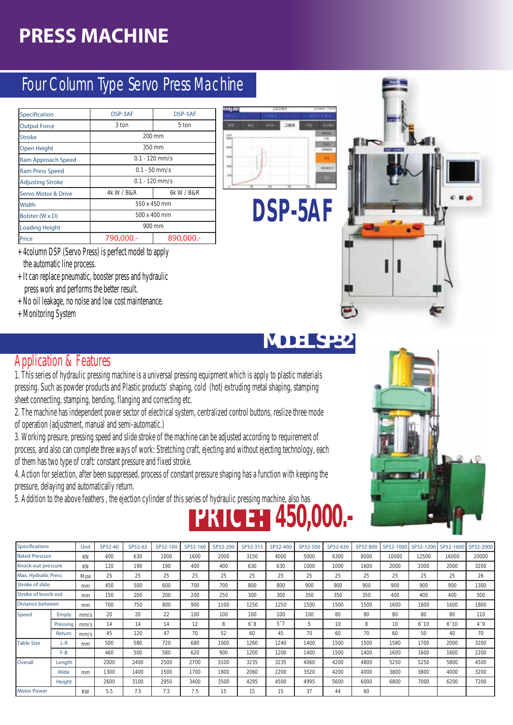### Four Column Type Servo Press Machine

| Specification           | DSP-3AF         | DSP-5AF          |  |  |  |  |
|-------------------------|-----------------|------------------|--|--|--|--|
| <b>Output Force</b>     | 3 ton           | 5 ton            |  |  |  |  |
| <b>Stroke</b>           | 200 mm          |                  |  |  |  |  |
| <b>Open Height</b>      | 350 mm          |                  |  |  |  |  |
| Ram Approach Speed      |                 | $0.1 - 120$ mm/s |  |  |  |  |
| <b>Ram Press Speed</b>  | $0.1 - 50$ mm/s |                  |  |  |  |  |
| <b>Adjusting Stroke</b> |                 | $0.1 - 120$ mm/s |  |  |  |  |
| Servo Motor & Drive     | 4k W / B&R      | 6k W / B&R       |  |  |  |  |
| Width                   |                 | 550 x 450 mm     |  |  |  |  |
| Bolster (W x D)         | 500 x 400 mm    |                  |  |  |  |  |
| <b>Loading Height</b>   |                 | 900 mm           |  |  |  |  |
| Price                   | 790,000.-       | 890,000.-        |  |  |  |  |

- + 4column DSP (Servo Press) is perfect model to apply the automatic line process.
- + It can replace pneumatic, booster press and hydraulic press work and performs the better result.
- + No oil leakage, no noise and low cost maintenance.
- + Monitoring System

![](_page_11_Picture_7.jpeg)

# **DSP-5AF**

### **MODEL SP32**

#### Application & Features

1. This series of hydraulic pressing machine is a universal pressing equipment which is apply to plastic materials pressing. Such as powder products and Plastic products' shaping, cold (hot) extruding metal shaping, stamping sheet connecting, stamping, bending, flanging and correcting etc.

2. The machine has independent power sector of electrical system, centralized control buttons, reslize three mode of operation (adjustment, manual and semi-automatic.)

3. Working presure, pressing speed and slide stroke of the machine can be adjusted according to requirement of process, and also can complete three ways of work: Stretching craft, ejecting and without ejecting technology, each of them has two type of craft: constant pressure and fixed stroke.

4. Action for selection, after been suppressed, process of constant pressure shaping has a function with keeping the pressure, delaying and automatically return.

5. Addition to the above feathers , the ejection cylinder of this series of hydraulic pressing machine, also has

![](_page_11_Picture_17.jpeg)

| <b>Specifications</b> |          | Unit      | SP32-40 | SP32-63 | SP32-100 | SP32-160 | SP32-200 | SP32-315       | SP32-400       | SP32-500 | SP32-630 | SP32-800 | SP32-1000 | SP32-1200 | SP32-1600 | SP32-2000 |
|-----------------------|----------|-----------|---------|---------|----------|----------|----------|----------------|----------------|----------|----------|----------|-----------|-----------|-----------|-----------|
| <b>Rated Pressure</b> |          | KN        | 400     | 630     | 1000     | 1600     | 2000     | 3150           | 4000           | 5000     | 6300     | 8000     | 10000     | 12500     | 16000     | 20000     |
| Knock-out pressure    |          | KN        | 120     | 190     | 190      | 400      | 400      | 630            | 630            | 1000     | 1000     | 1600     | 2000      | 2000      | 2000      | 3200      |
| Max. Hydrailic Press  |          | Mpa       | 25      | 25      | 25       | 25       | 25       | 25             | 25             | 25       | 25       | 25       | 25        | 25        | 25        | 26        |
| Stroke of slide       |          | mm        | 450     | 500     | 600      | 700      | 700      | 800            | 800            | 900      | 900      | 900      | 900       | 900       | 900       | 1300      |
| Stroke of knock-out   |          | mm        | 150     | 200     | 200      | 200      | 250      | 300            | 300            | 350      | 350      | 350      | 400       | 400       | 400       | 500       |
| Distance between      |          | mm        | 700     | 750     | 800      | 900      | 1100     | 1250           | 1250           | 1500     | 1500     | 1500     | 1600      | 1600      | 1600      | 1800      |
| Speed                 | Emply    | mm/s      | 20      | 20      | 22       | 100      | 100      | 100            | 100            | 100      | 80       | 80       | 80        | 80        | 80        | 110       |
|                       | Pressing | mm/s      | 14      | 14      | 14       | 12       | 8        | $6^{\degree}8$ | $5^{\degree}7$ | 5        | 10       | 8        | 10        | $6 - 10$  | $6 - 10$  | $4 - 9$   |
|                       | Return   | mm/s      | 45      | 120     | 47       | 70       | 52       | 60             | 45             | 70       | 60       | 70       | 60        | 50        | 40        | 70        |
| <b>Table Size</b>     | $L-R$    | mm        | 500     | 580     | 720      | 680      | 1000     | 1260           | 1240           | 1400     | 1500     | 1500     | 1580      | 1700      | 2000      | 3200      |
|                       | $F-B$    |           | 460     | 500     | 580      | 620      | 900      | 1200           | 1200           | 1400     | 1500     | 1400     | 1600      | 1600      | 1600      | 2200      |
| Overall               | Length   |           | 2000    | 2400    | 2500     | 2700     | 3100     | 3235           | 3235           | 4060     | 4200     | 4800     | 5250      | 5250      | 5800      | 4500      |
|                       | Wide     | mm        | 1300    | 1400    | 1500     | 1700     | 1800     | 2060           | 2200           | 3520     | 4200     | 4000     | 3800      | 3800      | 4000      | 3200      |
|                       | Height   |           | 2600    | 3100    | 2950     | 3400     | 3500     | 4295           | 4500           | 4995     | 5600     | 6000     | 6800      | 7000      | 6200      | 7200      |
| <b>Motor Power</b>    |          | <b>KW</b> | 5.5     | 7.5     | 7.5      | 7.5      | 15       | 15             | 15             | 37       | 44       | 60       |           |           |           |           |
|                       |          |           |         |         |          |          |          |                |                |          |          |          |           |           |           |           |

**PRICE: 450,000.-**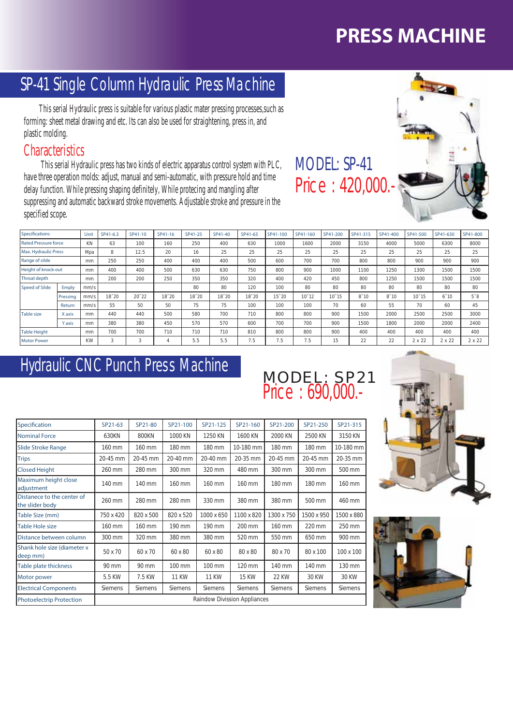### SP-41 Single Column Hydraulic Press Machine

 This serial Hydraulic press is suitable for various plastic mater pressing processes,such as forming: sheet metal drawing and etc. Its can also be used for straightening, press in, and plastic molding.

#### **Characteristics**

 This serial Hydraulic press has two kinds of electric apparatus control system with PLC, have three operation molds: adjust, manual and semi-automatic, with pressure hold and time delay function. While pressing shaping definitely, While protecing and mangling after suppressing and automatic backward stroke movements. Adjustable stroke and pressure in the specified scope.

| <b>Specifications</b>       |          | Unit      | SP41-6.3 | SP41-10        | SP41-16 | SP41-25   | SP41-40   | SP41-63   | SP41-100  | SP41-160  | SP41-200       | SP41-315 | SP41-400 | SP41-500       | SP41-630 | SP41-800       |
|-----------------------------|----------|-----------|----------|----------------|---------|-----------|-----------|-----------|-----------|-----------|----------------|----------|----------|----------------|----------|----------------|
| <b>Rated Pressure force</b> |          | KN        | 63       | 100            | 160     | 250       | 400       | 630       | 1000      | 1600      | 2000           | 3150     | 4000     | 5000           | 6300     | 8000           |
| Max. Hydraulic Press        |          | Mpa       | 8        | 12.5           | 20      | 16        | 25        | 25        | 25        | 25        | 25             | 25       | 25       | 25             | 25       | 25             |
| Range of silde              |          | mm        | 250      | 250            | 400     | 400       | 400       | 500       | 600       | 700       | 700            | 800      | 800      | 900            | 900      | 900            |
| Height of knock-out         |          | mm        | 400      | 400            | 500     | 630       | 630       | 750       | 800       | 900       | 1000           | 1100     | 1250     | 1300           | 1500     | 1500           |
| Throat depth                |          | mm        | 200      | 200            | 250     | 350       | 350       | 320       | 400       | 420       | 450            | 800      | 1250     | 1500           | 1500     | 1500           |
| <b>Speed of Silde</b>       | Emply    | mm/s      |          |                |         | 80        | 80        | 120       | 100       | 80        | 80             | 80       | 80       | 80             | 80       | 80             |
|                             | Pressing | mm/s      | 18~20    | $20^{\circ}22$ | 18~20   | $18 - 20$ | $18 - 20$ | $18 - 20$ | $15 - 20$ | $10 - 12$ | $10^{\circ}15$ | $8 - 10$ | $8 - 10$ | $10^{\circ}15$ | $6 - 10$ | $5^{\degree}8$ |
|                             | Return   | mm/s      | 55       | 50             | 50      | 75        | 75        | 100       | 100       | 100       | 70             | 60       | 55       | 70             | 60       | 45             |
| <b>Table size</b>           | X axis   | mm        | 440      | 440            | 500     | 580       | 700       | 710       | 800       | 800       | 900            | 1500     | 2000     | 2500           | 2500     | 3000           |
|                             | Y axis   | mm        | 380      | 380            | 450     | 570       | 570       | 600       | 700       | 700       | 900            | 1500     | 1800     | 2000           | 2000     | 2400           |
| <b>Table Height</b>         |          | mm        | 700      | 700            | 710     | 710       | 710       | 810       | 800       | 800       | 900            | 400      | 400      | 400            | 400      | 400            |
| <b>Motor Power</b>          |          | <b>KW</b> | 3        | $\sim$         | 4       | 5.5       | 5.5       | 7.5       | 7.5       | 7.5       | 15             | 22       | 22       | 2 x 22         | 2 x 22   | 2 x 22         |

MODEL: SP-41

Price : 690,000.-

#### Hydraulic CNC Punch Press Machine

| Specification                                 | SP21-63   | SP21-80                             | SP21-100       | SP21-125     | SP21-160       | SP21-200       | SP21-250       | SP21-315   |  |  |
|-----------------------------------------------|-----------|-------------------------------------|----------------|--------------|----------------|----------------|----------------|------------|--|--|
| <b>Nominal Force</b>                          | 630KN     | <b>800KN</b>                        | 1000 KN        | 1250 KN      | 1600 KN        | 2000 KN        | 2500 KN        | 3150 KN    |  |  |
| Slide Stroke Range                            | 160 mm    | 160 mm                              | 180 mm         | 180 mm       | 10-180 mm      | 180 mm         | 180 mm         | 10-180 mm  |  |  |
| <b>Trips</b>                                  | 20-45 mm  | 20-45 mm                            | 20-40 mm       | 20-40 mm     | 20-35 mm       | 20-45 mm       | 20-45 mm       | 20-35 mm   |  |  |
| <b>Closed Height</b>                          | 260 mm    | 280 mm                              | 300 mm         | 320 mm       | 480 mm         | 300 mm         | 300 mm         | 500 mm     |  |  |
| Maximum height close<br>adjustment            | 140 mm    | 140 mm                              | 160 mm         | 160 mm       | 160 mm         | 180 mm         | 180 mm         | 160 mm     |  |  |
| Distanece to the center of<br>the slider body | 260 mm    | 280 mm                              | 280 mm         | 330 mm       | 380 mm         | 380 mm         | 500 mm         | 460 mm     |  |  |
| Table Size (mm)                               | 750 x 420 | 820 x 500                           | 820 x 520      | 1000 x 650   | 1100 x 820     | 1300 x 750     | 1500 x 950     | 1500 x 880 |  |  |
| Table Hole size                               | 160 mm    | 160 mm                              | 190 mm         | 190 mm       | 200 mm         | 160 mm         | 220 mm         | 250 mm     |  |  |
| Distance between column                       | 300 mm    | 320 mm                              | 380 mm         | 380 mm       | 520 mm         | 550 mm         | 650 mm         | 900 mm     |  |  |
| Shank hole size (diameter x<br>deep mm)       | 50 x 70   | 60 x 70                             | 60 x 80        | 60 x 80      | 80 x 80        | 80 x 70        | 80 x 100       | 100 x 100  |  |  |
| Table plate thickness                         | 90 mm     | 90 mm                               | 100 mm         | 100 mm       | 120 mm         | 140 mm         | 140 mm         | 130 mm     |  |  |
| Motor power                                   | 5.5 KW    | 7.5 KW                              | <b>11 KW</b>   | <b>11 KW</b> | <b>15 KW</b>   | <b>22 KW</b>   | 30 KW          | 30 KW      |  |  |
| <b>Electrical Components</b>                  | Siemens   | Siemens                             | <b>Siemens</b> | Siemens      | <b>Siemens</b> | <b>Siemens</b> | <b>Siemens</b> | Siemens    |  |  |
| <b>Photoelectrip Protection</b>               |           | <b>Raindow Divission Appliances</b> |                |              |                |                |                |            |  |  |

![](_page_12_Picture_8.jpeg)

![](_page_12_Picture_9.jpeg)

![](_page_12_Picture_10.jpeg)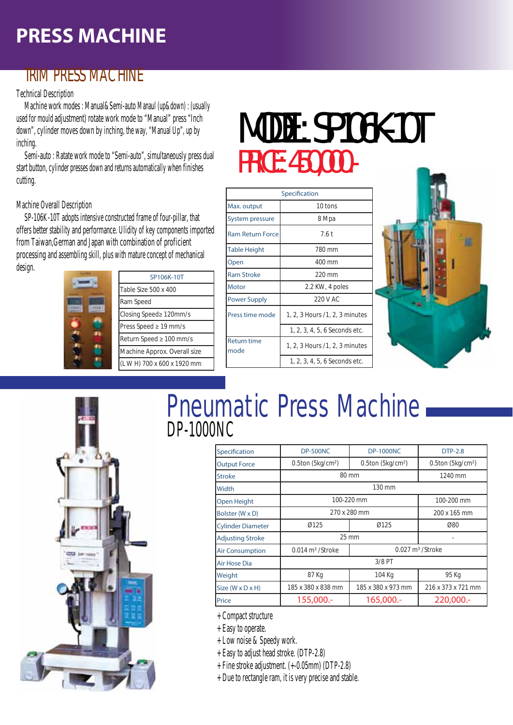#### TRIM PRESS MACHINE

#### Technical Description

 Machine work modes : Manual&Semi-auto Manaul (up&down) : (usually used for mould adjustment) rotate work mode to "Manual" press "Inch down", cylinder moves down by inching, the way, "Manual Up", up by inching.

 Semi-auto : Ratate work mode to "Semi-auto", simultaneously press dual start button, cylinder presses down and returns automatically when finishes cutting.

Machine Overall Description

 SP-106K-10T adopts intensive constructed frame of four-pillar, that offers better stability and performance. Ulidity of key components imported from Taiwan, German and Japan with combination of proficient processing and assembling skill, plus with mature concept of mechanical design.

| n |
|---|
|   |

|  | SP106K-10T                   |  |  |  |  |  |
|--|------------------------------|--|--|--|--|--|
|  | Table Size 500 x 400         |  |  |  |  |  |
|  | Ram Speed                    |  |  |  |  |  |
|  | Closing Speed≥ 120mm/s       |  |  |  |  |  |
|  | Press Speed $\geq$ 19 mm/s   |  |  |  |  |  |
|  | Return Speed ≥ 100 mm/s      |  |  |  |  |  |
|  | Machine Approx. Overall size |  |  |  |  |  |
|  | (LWH) 700 x 600 x 1920 mm    |  |  |  |  |  |

# MODEL: SP106K-10T PRICE: 450,000.-

|                            | Specification                  |  |  |  |
|----------------------------|--------------------------------|--|--|--|
| Max. output                | 10 tons                        |  |  |  |
| System pressure            | 8 Mpa                          |  |  |  |
| <b>Ram Return Force</b>    | 7.6t                           |  |  |  |
| <b>Table Height</b>        | 780 mm                         |  |  |  |
| Open                       | 400 mm                         |  |  |  |
| <b>Ram Stroke</b>          | 220 mm                         |  |  |  |
| Motor                      | 2.2 KW, 4 poles                |  |  |  |
| <b>Power Supply</b>        | 220 V AC                       |  |  |  |
| Press time mode            | 1, 2, 3 Hours /1, 2, 3 minutes |  |  |  |
|                            | 1, 2, 3, 4, 5, 6 Seconds etc.  |  |  |  |
| <b>Return time</b><br>mode | 1, 2, 3 Hours /1, 2, 3 minutes |  |  |  |
|                            | 1, 2, 3, 4, 5, 6 Seconds etc.  |  |  |  |

![](_page_13_Picture_11.jpeg)

![](_page_13_Picture_12.jpeg)

# Pneumatic Press Machine DP-1000NC

| Specification                  | <b>DP-500NC</b>                | <b>DP-1000NC</b>              | <b>DTP-2.8</b>                 |
|--------------------------------|--------------------------------|-------------------------------|--------------------------------|
| <b>Output Force</b>            | $0.5$ ton (5 $kg/cm2$ )        | 0.5ton (5kg/cm <sup>2</sup> ) | $0.5$ ton (5 $kg/cm2$ )        |
| <b>Stroke</b>                  |                                | 80 mm                         | 1240 mm                        |
| Width                          |                                | 130 mm                        |                                |
| Open Height                    |                                | 100-220 mm                    | 100-200 mm                     |
| Bolster (W x D)                | 270 x 280 mm                   | 200 x 165 mm                  |                                |
| <b>Cylinder Diameter</b>       | 0125                           | Ø125                          | Ø80                            |
| <b>Adjusting Stroke</b>        |                                | 25 mm                         |                                |
| <b>Air Consumption</b>         | $0.014$ m <sup>3</sup> /Stroke |                               | $0.027$ m <sup>3</sup> /Stroke |
| Air Hose Dia                   |                                | $3/8$ PT                      |                                |
| Weight                         | 87 Kg                          | 104 Kg                        | 95 Kg                          |
| Size ( $W \times D \times H$ ) | 185 x 380 x 838 mm             | 185 x 380 x 973 mm            | 216 x 373 x 721 mm             |
| Price                          | 155,000.-                      | 165,000 .-                    | 220,000 .-                     |

+ Compact structure

+ Easy to operate.

+ Low noise & Speedy work.

+ Easy to adjust head stroke. (DTP-2.8)

+ Fine stroke adjustment. (+-0.05mm) (DTP-2.8)

+ Due to rectangle ram, it is very precise and stable.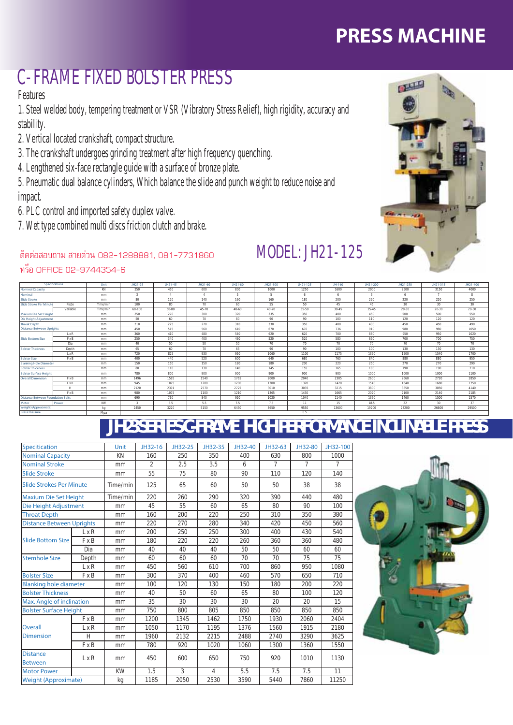### C-FRAME FIXED BOLSTER PRESS

Features

1. Steel welded body, tempering treatment or VSR (Vibratory Stress Relief), high rigidity, accuracy and stability.

- 2. Vertical located crankshaft, compact structure.
- 3. The crankshaft undergoes grinding treatment after high frequency quenching.
- 4. Lengthened six-face rectangle guide with a surface of bronze plate.

5. Pneumatic dual balance cylinders, Which balance the slide and punch weight to reduce noise and impact.

- 6. PLC control and imported safety duplex valve.
- 7. Wet type combined multi discs friction clutch and brake.

#### ติดต่อสอบถาม สายด่วน 082-1288881, 081-7731860

![](_page_14_Picture_11.jpeg)

### MODEL: JH21-125

หรือ OFFICE 02-9744354-6

|                                          | Specifications | Unit     | JH21-25 | JH21-45 | JH21-60 | JH21-80   | JH21-100  | JH21-125 | JH-160 | JH21-200 | JH21-250  | JH21-315  | JH21-400 |
|------------------------------------------|----------------|----------|---------|---------|---------|-----------|-----------|----------|--------|----------|-----------|-----------|----------|
| <b>Nominal Capacity</b>                  |                | KN       | 250     | 450     | 600     | 800       | 1000      | 1250     | 1600   | 2000     | 2500      | 3150      | 4000     |
| Nominal                                  |                | mm       |         |         |         |           |           | 6        |        |          |           |           | 8        |
| <b>Slide Stroke</b>                      |                | mm       | 80      | 120     | 140     | 160       | 160       | 180      | 200    | 220      | 220       | 220       | 250      |
| <b>Slide Stroke Per Minut</b>            | Fixde          | Time/min | 100     | 80      | 70      | 60        | 55        | 50       | 45     | 45       | 30        | 30        | 30       |
|                                          | Variable       | Time/min | 60-100  | 50-80   | 45-70   | $40 - 60$ | $40 - 70$ | 35-50    | 30-45  | 25-45    | $20 - 30$ | $20 - 30$ | 20-30    |
| Maxium Die Set Height                    |                | mm       | 250     | 270     | 300     | 320       | 335       | 350      | 400    | 450      | 500       | 500       | 550      |
| Die Height Adjustment                    |                | mm       | 50      | 60      | 70      | 80        | 90        | 90       | 100    | 110      | 120       | 120       | 120      |
| <b>Throat Depth</b>                      |                | mm       | 210     | 225     | 270     | 310       | 330       | 350      | 400    | 430      | 450       | 450       | 490      |
| <b>Distance Between Uprights</b>         |                | mm       | 450     | 515     | 560     | 610       | 670       | 670      | 736    | 910      | 980       | 980       | 1050     |
|                                          | $L \times R$   | mm       | 360     | 410     | 480     | 540       | 620       | 620      | 700    | 880      | 950       | 950       | 1020     |
| <b>Slide Bottom Size</b>                 | F x B          | mm       | 250     | 340     | 400     | 460       | 520       | 520      | 580    | 650      | 700       | 700       | 750      |
|                                          | Dia            | mm       | 40      | 50      | 50      | 50        | 70        | 70       | 70     | 70       | 70        | 70        | 70       |
| <b>Bolster Thickness</b>                 | Depth          | mm       | 65      | 60      | 70      | 65        | 90        | 90       | 100    | 100      | 130       | 130       | 130      |
|                                          | $L \times R$   | mm       | 720     | 825     | 930     | 950       | 1060      | 1100     | 1175   | 1390     | 1500      | 1540      | 1700     |
| <b>Bolster Size</b>                      | F x B          | mm       | 400     | 440     | 520     | 600       | 640       | 680      | 760    | 840      | 880       | 880       | 950      |
| <b>Blanking Hole Diameter</b>            |                | mm       | 150     | 150     | 150     | 180       | 180       | 200      | 220    | 250      | 270       | 270       | 290      |
| <b>Bolster Thickness</b>                 |                | mm       | 80      | 110     | 130     | 140       | 145       | 155      | 165    | 180      | 190       | 190       | 210      |
| <b>Bolster Surface Height</b>            |                | mm       | 780     | 800     | 900     | 900       | 900       | 900      | 900    | 1000     | 1000      | 1000      | 1100     |
| <b>Overall Dimension</b>                 | F x B          | mm       | 1496    | 1585    | 1540    | 1765      | 2000      | 2040     | 2305   | 2600     | 2660      | 2720      | 2850     |
|                                          | $L \times R$   | mm       | 945     | 1075    | 1200    | 1200      | 1300      | 1320     | 1420   | 1540     | 1640      | 1680      | 1750     |
|                                          | н              | mm       | 2120    | 2391    | 2570    | 2725      | 3010      | 3035     | 3215   | 3800     | 3850      | 3850      | 4140     |
|                                          | F x B          | mm       | 980     | 1075    | 1100    | 1210      | 1365      | 1430     | 1665   | 2020     | 2100      | 2140      | 2185     |
| <b>Distance Between Foundation Bolts</b> |                | mm       | 690     | 760     | 840     | 920       | 1020      | 1040     | 1140   | 1360     | 1460      | 1500      | 1570     |
| Motor                                    | Power          | KW       |         | 5.5     | 5.5     | 7.5       | 7.5       | 11       | 15     | 18.5     | 22        | 30        | 37       |
| <b>Weight (Approximate)</b>              |                | kq       | 2450    | 3220    | 5150    | 6450      | 8650      | 9550     | 13600  | 19200    | 23200     | 26600     | 29500    |
| <b>Press Pressure</b>                    |                | Mpa      |         |         |         |           |           | 0.5      |        |          |           |           |          |

# *JH23 SERIES C-FRAME HIGH PERFORMANCE INCLINABLE PRESS*

| <b>Specitication</b>              |              | Unit      | JH32-16        | JH32-25 | JH32-35        | JH32-40 | JH32-63 | JH32-80 | JH32-100 |
|-----------------------------------|--------------|-----------|----------------|---------|----------------|---------|---------|---------|----------|
| <b>Nominal Capacity</b>           |              | KN        | 160            | 250     | 350            | 400     | 630     | 800     | 1000     |
| <b>Nominal Stroke</b>             |              | mm        | $\overline{2}$ | 2.5     | 3.5            | 6       | 7       | 7       | 7        |
| <b>Slide Stroke</b>               |              | mm        | 55             | 75      | 80             | 90      | 110     | 120     | 140      |
| <b>Slide Strokes Per Minute</b>   |              | Time/min  | 125            | 65      | 60             | 50      | 50      | 38      | 38       |
| <b>Maxium Die Set Height</b>      |              | Time/min  | 220            | 260     | 290            | 320     | 390     | 440     | 480      |
| Die Height Adjustment             |              | mm        | 45             | 55      | 60             | 65      | 80      | 90      | 100      |
| <b>Throat Depth</b>               |              | mm        | 160            | 200     | 220            | 250     | 310     | 350     | 380      |
| <b>Distance Between Uprights</b>  |              | mm        | 220            | 270     | 280            | 340     | 420     | 450     | 560      |
|                                   | L x R        | mm        | 200            | 250     | 250            | 300     | 400     | 430     | 540      |
| <b>Slide Bottom Size</b>          | <b>F</b> x B | mm        | 180            | 220     | 220            | 260     | 360     | 360     | 480      |
|                                   | Dia          | mm        | 40             | 40      | 40             | 50      | 50      | 60      | 60       |
| <b>Stemhole Size</b>              | Depth        | mm        | 60             | 60      | 60             | 70      | 70      | 75      | 75       |
|                                   | L x R        | mm        | 450            | 560     | 610            | 700     | 860     | 950     | 1080     |
| <b>Bolster Size</b>               | <b>F</b> x B | mm        | 300            | 370     | 400            | 460     | 570     | 650     | 710      |
| <b>Blanking hole diameter</b>     |              | mm        | 100            | 120     | 130            | 150     | 180     | 200     | 220      |
| <b>Bolster Thickness</b>          |              | mm        | 40             | 50      | 60             | 65      | 80      | 100     | 120      |
| Max. Angle of inclination         |              | mm        | 35             | 30      | 30             | 30      | 20      | 20      | 15       |
| <b>Bolster Surface Height</b>     |              | mm        | 750            | 800     | 805            | 850     | 850     | 850     | 850      |
|                                   | <b>F</b> x B | mm        | 1200           | 1345    | 1462           | 1750    | 1930    | 2060    | 2404     |
| Overall                           | L x R        | mm        | 1050           | 1170    | 1195           | 1376    | 1560    | 1915    | 2180     |
| <b>Dimension</b>                  | H            | mm        | 1960           | 2132    | 2215           | 2488    | 2740    | 3290    | 3625     |
|                                   | <b>F</b> x B | mm        | 780            | 920     | 1020           | 1060    | 1300    | 1360    | 1550     |
| <b>Distance</b><br><b>Between</b> | L x R        | mm        | 450            | 600     | 650            | 750     | 920     | 1010    | 1130     |
| <b>Motor Power</b>                |              | <b>KW</b> | 1.5            | 3       | $\overline{4}$ | 5.5     | 7.5     | 7.5     | 11       |
| <b>Weight (Approximate)</b>       |              | kg        | 1185           | 2050    | 2530           | 3590    | 5440    | 7860    | 11250    |

![](_page_14_Picture_17.jpeg)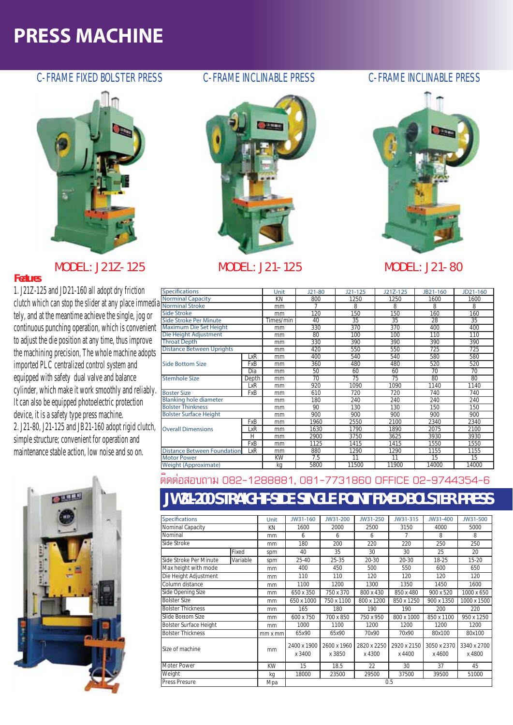#### C-FRAME FIXED BOLSTER PRESS C-FRAME INCLINABLE PRESS C-FRAME INCLINABLE PRESS

![](_page_15_Picture_2.jpeg)

#### **MODEL: J21Z-125 MODEL: J21-125 MODEL: J21-80**

#### *Features*

1. J21Z-125 and JD21-160 all adopt dry friction clutch which can stop the slider at any place immedia tely, and at the meantime achieve the single, jog or continuous punching operation, which is convenient to adjust the die position at any time, thus improve the machining precision, The whole machine adopts imported PLC centralized control system and equipped with safety dual valve and balance cylinder, which make it work smoothly and reliably. It can also be equipped photoelectric protection device, it is a safety type press machine. 2. J21-80, J21-125 and JB21-160 adopt rigid clutch, simple structure; convenient for operation and maintenance stable action, low noise and so on.

![](_page_15_Picture_6.jpeg)

![](_page_15_Picture_8.jpeg)

![](_page_15_Picture_11.jpeg)

| <b>Specifications</b>              |       | Unit      | $J21-80$ | $J21 - 125$ | J21Z-125 | JB21-160 | JD21-160 |
|------------------------------------|-------|-----------|----------|-------------|----------|----------|----------|
| <b>Norminal Capacity</b>           |       | KN        | 800      | 1250        | 1250     | 1600     | 1600     |
| <b>Norminal Stroke</b>             |       | mm        |          | 8           | 8        | 8        | 8        |
| Side Stroke                        |       | mm        | 120      | 150         | 150      | 160      | 160      |
| Side Stroke Per Minute             |       | Times/min | 40       | 35          | 35       | 28       | 35       |
| Maximum Die Set Height             |       | mm        | 330      | 370         | 370      | 400      | 400      |
| Die Height Adjustment              |       | mm        | 80       | 100         | 100      | 110      | 110      |
| <b>Throat Depth</b>                |       | mm        | 330      | 390         | 390      | 390      | 390      |
| <b>Distance Between Uprights</b>   |       | mm        | 420      | 550         | 550      | 725      | 725      |
|                                    | LxR   | mm        | 400      | 540         | 540      | 580      | 580      |
| Side Bottom Size                   | FxB   | mm        | 360      | 480         | 480      | 520      | 520      |
|                                    | Dia   | mm        | 50       | 60          | 60       | 70       | 70       |
| <b>Stemhole Size</b>               | Depth | mm        | 70       | 75          | 75       | 80       | 80       |
|                                    | LxR   | mm        | 920      | 1090        | 1090     | 1140     | 1140     |
| <b>Boster Size</b>                 | FxB   | mm        | 610      | 720         | 720      | 740      | 740      |
| <b>Blanking hole diameter</b>      |       | mm        | 180      | 240         | 240      | 240      | 240      |
| <b>Bolster Thinkness</b>           |       | mm        | 90       | 130         | 130      | 150      | 150      |
| <b>Bolster Surface Height</b>      |       | mm        | 900      | 900         | 900      | 900      | 900      |
|                                    | FxB   | mm        | 1960     | 2550        | 2100     | 2340     | 2340     |
| <b>Overall Dimensions</b>          | LxR   | mm        | 1630     | 1790        | 1890     | 2075     | 2100     |
|                                    | Н     | mm        | 2900     | 3750        | 3625     | 3930     | 3930     |
|                                    | FxB   | mm        | 1125     | 1415        | 1415     | 1550     | 1550     |
| <b>Distance Between Foundation</b> | LxR   | mm        | 880      | 1290        | 1290     | 1155     | 1155     |
| <b>Motor Power</b>                 |       | <b>KW</b> | 7.5      | 11          | 11       | 15       | 15       |
| Weight (Approximate)               |       | kq        | 5800     | 11500       | 11900    | 14000    | 14000    |

#### ติดต่อสอบถาม 082-1288881, 081-7731860 OFFICE 02-9744354-6

#### *JW31-200 STRAIGHT-SIDE SINGLE POINT FIXED BOLSTER PRESS*

| <b>Specifications</b>         |          | Unit           | JW31-160              | JW31-200              | JW31-250              | JW31-315              | JW31-400              | JW31-500              |
|-------------------------------|----------|----------------|-----------------------|-----------------------|-----------------------|-----------------------|-----------------------|-----------------------|
| Nominal Capacity              |          | KN             | 1600                  | 2000                  | 2500                  | 3150                  | 4000                  | 5000                  |
| Nominal                       |          | mm             | 6                     | 6                     | 6                     |                       | 8                     | 8                     |
| Side Stroke                   |          | mm             | 180                   | 200                   | 220                   | 220                   | 250                   | 250                   |
|                               | Fixed    | spm            | 40                    | 35                    | 30                    | 30                    | 25                    | 20                    |
| Side Stroke Per Minute        | Variable | spm            | 25-40                 | 25-35                 | $20 - 30$             | $20 - 30$             | 18-25                 | $15 - 20$             |
| Max height with mode          |          | mm             | 400                   | 450                   | 500                   | 550                   | 600                   | 650                   |
| Die Height Adjustment         |          | mm             | 110                   | 110                   | 120                   | 120                   | 120                   | 120                   |
| Column distance               |          | mm             | 1100                  | 1200                  | 1300                  | 1350                  | 1450                  | 1600                  |
| Side Opening Size             |          | mm             | 650 x 350             | 750 x 370             | 800 x 430             | 850 x 480             | 900 x 520             | 1000 x 650            |
| <b>Bolster Size</b>           |          | mm             | 650 x 1000            | 750 x 1100            | 800 x 1200            | 850 x 1250            | 900 x 1350            | 1000 x 1500           |
| <b>Bolster Thickness</b>      |          | mm             | 165                   | 180                   | 190                   | 190                   | 200                   | 220                   |
| Slide Bottom Size             |          | mm             | 600 x 750             | 700 x 850             | 750 x 950             | 800 x 1000            | 850 x 1100            | 950 x 1250            |
| <b>Bolster Surface Height</b> |          | mm             | 1000                  | 1100                  | 1200                  | 1200                  | 1200                  | 1200                  |
| <b>Bolster Thickness</b>      |          | $mm \times mm$ | 65x90                 | 65x90                 | 70x90                 | 70x90                 | 80x100                | 80x100                |
| Size of machine               |          | mm             | 2400 x 1900<br>x 3400 | 2600 x 1960<br>x 3850 | 2820 x 2250<br>x 4300 | 2920 x 2150<br>x 4400 | 3050 x 2370<br>x 4600 | 3340 x 2700<br>x 4800 |
| Moter Power                   |          | KW             | 15                    | 18.5                  | 22                    | 30                    | 37                    | 45                    |
| Weight                        |          | kg             | 18000                 | 23500                 | 29500                 | 37500                 | 39500                 | 51000                 |
| <b>Press Presure</b>          |          | Mpa            |                       |                       | 0.5                   |                       |                       |                       |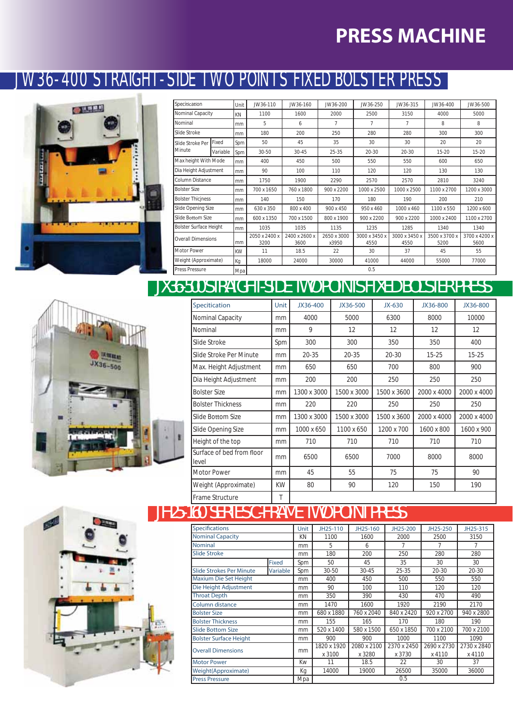#### JW36-400 STRAIGHT-SIDE TWO POINTS FIXED BOLSTER PRESS

![](_page_16_Picture_2.jpeg)

| Specitication                 |          | Unit | JW36-110              | JW36-160              | JW36-200             | JW36-250              | JW36-315              | JW36-400              | JW36-500              |
|-------------------------------|----------|------|-----------------------|-----------------------|----------------------|-----------------------|-----------------------|-----------------------|-----------------------|
| Nominal Capacity              |          | KN   | 1100                  | 1600                  | 2000                 | 2500                  | 3150                  | 4000                  | 5000                  |
| Nominal                       |          | mm   | 5                     | 6                     | 7                    | 7                     | 7                     | 8                     | 8                     |
| Slide Stroke                  |          | mm   | 180                   | 200                   | 250                  | 280                   | 280                   | 300                   | 300                   |
| Slide Stroke Per              | Fixed    | Spm  | 50                    | 45                    | 35                   | 30                    | 30                    | 20                    | 20                    |
| Minute                        | Variable | Spm  | 30-50                 | $30 - 45$             | $25 - 35$            | $20 - 30$             | $20 - 30$             | $15 - 20$             | $15 - 20$             |
| Max height With Mode          |          | mm   | 400                   | 450                   | 500                  | 550                   | 550                   | 600                   | 650                   |
| Dia Height Adjustment         |          | mm   | 90                    | 100                   | 110                  | 120                   | 120                   | 130                   | 130                   |
| Column Distance               |          | mm   | 1750                  | 1900                  | 2290                 | 2570                  | 2570                  | 2810                  | 3240                  |
| <b>Bolster Size</b>           |          | mm   | 700 x 1650            | 760 x 1800            | 900 x 2200           | 1000 x 2500           | 1000 x 2500           | 1100 x 2700           | 1200 x 3000           |
| <b>Bolster Thiciness</b>      |          | mm   | 140                   | 150                   | 170                  | 180                   | 190                   | 200                   | 210                   |
| Slide Opening Size            |          | mm   | 630 x 350             | 800 x 400             | 900 x 450            | 950 x 460             | 1000 x 460            | 1100 x 550            | 1200 x 600            |
| Slide Bottom Size             |          | mm   | 600 x 1350            | 700 x 1500            | 800 x 1900           | 900 x 2200            | 900 x 2200            | 1000 x 2400           | 1100 x 2700           |
| <b>Bolster Surface Height</b> |          | mm   | 1035                  | 1035                  | 1135                 | 1235                  | 1285                  | 1340                  | 1340                  |
| <b>Overall Dimensions</b>     |          | mm   | 2050 x 2400 x<br>3200 | 2400 x 2600 x<br>3600 | 2650 x 3000<br>x3950 | 3000 x 3450 x<br>4550 | 3000 x 3450 x<br>4550 | 3500 x 3700 x<br>5200 | 3700 x 4200 x<br>5600 |
| Motor Power                   |          | KW   | 11                    | 18.5                  | 22                   | 30                    | 37                    | 45                    | 55                    |
| Weight (Approximate)          |          | Кg   | 18000                 | 24000                 | 30000                | 41000                 | 44000                 | 55000                 | 77000                 |
| <b>Press Pressure</b>         |          | Mpa  |                       |                       |                      | 0.5                   |                       |                       |                       |

#### *JX36-500 STRAIGHT-SIDE TWO POINTS FIXED BOLSTER PRESS*

![](_page_16_Picture_5.jpeg)

| Specitication                      | Unit | JX36-400    | JX36-500    | $JX-630$    | JX36-800    | JX36-800    |
|------------------------------------|------|-------------|-------------|-------------|-------------|-------------|
| Nominal Capacity                   | mm   | 4000        | 5000        | 6300        | 8000        | 10000       |
| Nominal                            | mm   | 9           | 12          | 12          | 12          | 12          |
| Slide Stroke                       | Spm  | 300         | 300         | 350         | 350         | 400         |
| Slide Stroke Per Minute            | mm   | $20 - 35$   | $20 - 35$   | $20 - 30$   | $15 - 25$   | $15 - 25$   |
| Max. Height Adjustment             | mm   | 650         | 650         | 700         | 800         | 900         |
| Dia Height Adjustment              | mm   | 200         | 200         | 250         | 250         | 250         |
| <b>Bolster Size</b>                | mm   | 1300 x 3000 | 1500 x 3000 | 1500 x 3600 | 2000 x 4000 | 2000 x 4000 |
| <b>Bolster Thickness</b>           | mm   | 220         | 220         | 250         | 250         | 250         |
| Slide Bottom Size                  | mm   | 1300 x 3000 | 1500 x 3000 | 1500 x 3600 | 2000 x 4000 | 2000 x 4000 |
| Slide Opening Size                 | mm   | 1000 x 650  | 1100 x 650  | 1200 x 700  | 1600 x 800  | 1600 x 900  |
| Height of the top                  | mm   | 710         | 710         | 710         | 710         | 710         |
| Surface of bed from floor<br>level | mm   | 6500        | 6500        | 7000        | 8000        | 8000        |
| <b>Motor Power</b>                 | mm   | 45          | 55          | 75          | 75          | 90          |
| Weight (Approximate)               | KW   | 80          | 90          | 120         | 150         | 190         |
| Frame Structure                    | T    |             |             |             |             |             |

![](_page_16_Picture_7.jpeg)

#### **Unit JH25-110 JH25-160 JH25-200 JH25-250 JH25-315** KN 1100 1600 2000 2500 3150 mm 5 6 7 7 7 7 mm 180 200 250 280 280 **Fixed** Spm 50 45 35 30 30 **Slide Strokes Per Minute Variable** Spm 30-50 30-45 25-35 20-30 20-30 mm 400 450 500 550 550 mm 90 100 110 120 120 mm 350 390 430 470 490 **Column distance** mm 1470 1600 1920 2190 2170 **Bolster Size** mm 680 x 1880 760 x 2040 840 x 2420 920 x 2700 940 x 2800<br>**Bolster Thickness** mm 155 165 170 180 190 **Bolster Thickness mm** 155 165 **Slide Bottom Size** mm **520 x 1400** 580 x 1500 650 x 1850 700 x 2100 700 x 2100<br>Bolster Surface Height mm 900 900 1000 1100 1090 Bolster Surface Height **1090 1000** 1000 **1100** 1090<br>2080 x 2100 2370 x 2450 2690 x 2730 2730 x 2 **Overall Dimensions now 1820 mm**  $x 3100$ <br>11 2080 x 2100  $\times 3280$ <br>18.5 2370 x 2450  $rac{x \frac{3730}{22}}{x}$ 2690 x 2730  $rac{x \, 4110}{30}$ 2730 x 2840  $rac{x \, 4110}{37}$ **Motor Power** Kw **Weight(Approximate)** Kg 14000 19000 26500 35000 36000 Press Pressure Mpa **Specifications** 0.5 **Nominal Capacity Nominal Slide Stroke Maxium Die Set Height Die Height Adjustment Throat Depth** *JH25-160 SERIES C-FRAME TWO POINT PRESS*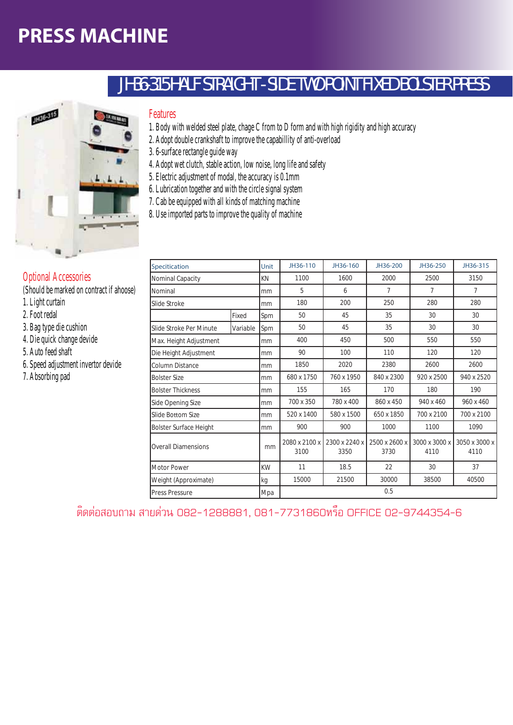![](_page_17_Picture_1.jpeg)

#### Features

1. Body with welded steel plate, chage C from to D form and with high rigidity and high accuracy

*JH36-315 HALF STRAIGHT - SIDE TWO POINT FIXED BOLSTER PRESS*

- 2. Adopt double crankshaft to improve the capabillity of anti-overload
- 3. 6-surface rectangle guide way
- 4. Adopt wet clutch, stable action, low noise, long life and safety
- 5. Electric adjustment of modal, the accuracy is 0.1mm
- 6. Lubrication together and with the circle signal system
- 7. Cab be equipped with all kinds of matching machine
- 8. Use imported parts to improve the quality of machine

| Specitication                 |          | Unit      | JH36-110              | JH36-160              | JH36-200              | JH36-250              | JH36-315              |  |
|-------------------------------|----------|-----------|-----------------------|-----------------------|-----------------------|-----------------------|-----------------------|--|
| Nominal Capacity              |          | <b>KN</b> | 1100                  | 1600                  | 2000                  | 2500                  | 3150                  |  |
| Nominal                       |          | mm        | 5                     | 6                     | 7                     | 7                     | 7                     |  |
| Slide Stroke                  |          | mm        | 180                   | 200                   | 250                   | 280                   | 280                   |  |
|                               | Fixed    | Spm       | 50                    | 45                    | 35                    | 30                    | 30                    |  |
| Slide Stroke Per Minute       | Variable | Spm       | 50                    | 45                    | 35                    | 30                    | 30                    |  |
| Max. Height Adjustment        |          | mm        | 400                   | 450                   | 500                   | 550                   | 550                   |  |
| Die Height Adjustment         |          | mm        | 90                    | 100                   | 110                   | 120                   | 120                   |  |
| Column Distance               |          | mm        | 1850                  | 2020                  | 2380                  | 2600                  | 2600                  |  |
| <b>Bolster Size</b>           |          | mm        | 680 x 1750            | 760 x 1950            | 840 x 2300            | 920 x 2500            | 940 x 2520            |  |
| <b>Bolster Thickness</b>      |          | mm        | 155                   | 165                   | 170                   | 180                   | 190                   |  |
| Side Opening Size             |          | mm        | 700 x 350             | 780 x 400             | 860 x 450             | 940 x 460             | 960 x 460             |  |
| Slide Bottom Size             |          | mm        | 520 x 1400            | 580 x 1500            | 650 x 1850            | 700 x 2100            | 700 x 2100            |  |
| <b>Bolster Surface Height</b> |          | mm        | 900                   | 900                   | 1000                  | 1100                  | 1090                  |  |
| <b>Overall Diamensions</b>    |          | mm        | 2080 x 2100 x<br>3100 | 2300 x 2240 x<br>3350 | 2500 x 2600 x<br>3730 | 3000 x 3000 x<br>4110 | 3050 x 3000 x<br>4110 |  |
| Motor Power                   |          | <b>KW</b> | 11                    | 18.5                  | 22                    | 30                    | 37                    |  |
| Weight (Approximate)          |          | kg        | 15000                 | 21500                 | 30000                 | 38500                 | 40500                 |  |
| <b>Press Pressure</b>         |          | Mpa       | 0.5                   |                       |                       |                       |                       |  |

ติดต่อสอบถาม สายด่วน 082-1288881, 081-7731860หรือ OFFICE 02-9744354-6

#### Optional Accessories

(Should be marked on contract if ahoose)

- 1. Light curtain
- 2. Foot redal
- 3. Bag type die cushion
- 4. Die quick change devide
- 5. Auto feed shaft
- 6. Speed adjustment invertor devide
- 7. Absorbing pad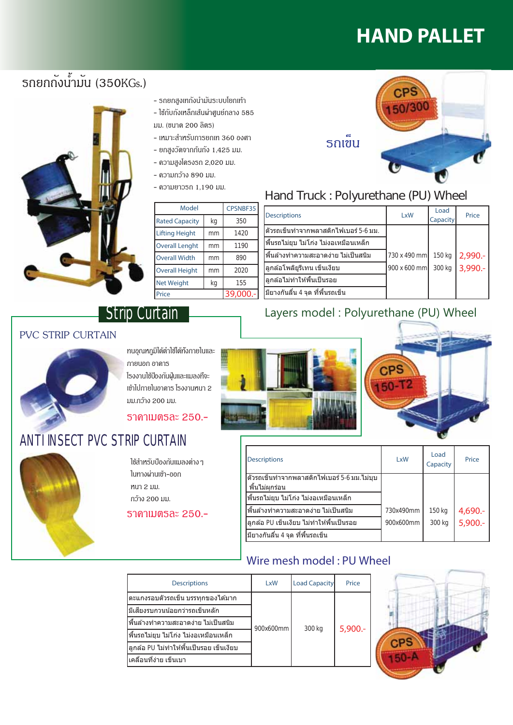# **HAND PALLET**

### รถยกกังน้ำมัน (350KGs.)

![](_page_18_Picture_2.jpeg)

- รถยกสูงเทถังนำมันระบบโยกเท้า
- ใช้กับถังเหล็กเส้นผ่าศูนย์กลาง 585 มม. (ขนาด 200 ลิตร)
- เหมาะสำหรับการยกเท 360 องศา
- ยกสงวัดจากกันกัง 1.425 มม.
- ความสูงโครงรถ 2,020 มม.
- ดวามกว้าง 890 มม.
- ความยาวรถ 1.190 มม.

| Model                 | CPSNBF35 |           |
|-----------------------|----------|-----------|
| <b>Rated Capacity</b> | kg       | 350       |
| <b>Lifting Height</b> | mm       | 1420      |
| <b>Overall Lenght</b> | mm       | 1190      |
| <b>Overall Width</b>  | mm       | 890       |
| <b>Overall Height</b> | mm       | 2020      |
| <b>Net Weight</b>     | kq       | 155       |
| Price                 |          | 39,000 .- |

#### ้รถเข็น

![](_page_18_Picture_12.jpeg)

#### Hand Truck : Polyurethane (PU) Wheel

| <b>Descriptions</b>                   | LxW          | Load<br>Capacity | Price      |
|---------------------------------------|--------------|------------------|------------|
| ตัวรถเข็นทำจากพลาสติกไฟเบอร์ 5-6 มม.  |              |                  |            |
| พื้นรถไม่ยุบ ไม่โก่ง ไม่งอเหมือนเหล็ก |              |                  |            |
| ่พื้นล้างทำความสะอาดง่าย ไม่เป็นสนิม  | 730 x 490 mm | 150 kg           | $2,990. -$ |
| ี่ลูกล้อโพลิยูรีเทน เข็นเงียบ         | 900 x 600 mm | 300 kg           | $3,990 -$  |
| ี่ลูกล้อไม่ทำให้พื้นเป็นรอย           |              |                  |            |
| ่มียางกันลืน 4 จุด ทีพื้นรถเข็น       |              |                  |            |

#### Layers model: Polyurethane (PU) Wheel

**PVC STRIP CURTAIN** 

#### ทนอุณหภูมิได้ตำใช้ได้ทั้งภายในและ ภายนอก อาคาร โรงงานใช้ป้องกันฝ่นและแมลงที่จะ เข้าไปภายในอาดาร โรงงานหนา 2 ນນ.ກວ້າง 200 ນນ.

Strip Curtain

#### **ราดาเมตรละ 250.-**

#### ANTI INSECT PVC STRIP CURTAIN

![](_page_18_Picture_20.jpeg)

ใช้สำหรับป้องกันแมลงต่าง ๆ ในทางผ่านเข้า-ออก หนา 2 มม. กว้าง 200 มม.

ราคาเมตรละ 250.-

![](_page_18_Picture_23.jpeg)

![](_page_18_Picture_24.jpeg)

| <b>Descriptions</b>                                          | <b>LxW</b> | Load<br>Capacity | Price              |
|--------------------------------------------------------------|------------|------------------|--------------------|
| ่ตัวรถเข็นทำจากพลาสติกไฟเบอร์ 5-6 มม.ไม่บบ<br>พื้นไม่ผุกร่อน |            |                  |                    |
| พื้นรถไม่ยุบ ไม่โก่ง ไม่งอเหมือนเหล็ก                        |            |                  |                    |
| ∣พื้นล้างทำความสะอาดง่าย ไม่เป็นสนิม                         | 730x490mm  | 150 kg           |                    |
| ลูกล้อ PU เข็นเงียบ ไม่ทำให้พื้นเป็นรอย                      | 900x600mm  | 300 kg           | 4,690.-<br>5,900.- |
| มียางกันลื่น 4 จุด ที่พื้นรถเข็น                             |            |                  |                    |

#### Wire mesh model: PU Wheel

| <b>Descriptions</b>                       | LxW       | <b>Load Capacity</b> | Price  |
|-------------------------------------------|-----------|----------------------|--------|
| ็ตะแกงรอบตัวรถเข็น บรรทกของได้มาก         | 900x600mm | 300 kg               | 5,900. |
| มีเสียงรบกวนน้อยกว่ารถเข็นหลัก            |           |                      |        |
| ้พื้นล้างทำความสะอาดง่าย ไม่เป็นสนิม      |           |                      |        |
| ีพื้นรถไม่ยุบ ไม่โก่ง ไม่งอเหมือนเหล็ก    |           |                      |        |
| ี่ลูกล้อ PU ไม่ทำให้พื้นเป็นรอย เข็นเงียบ |           |                      |        |
| ้เคลื่อนที่ง่าย เข็นเบา                   |           |                      |        |

![](_page_18_Picture_28.jpeg)